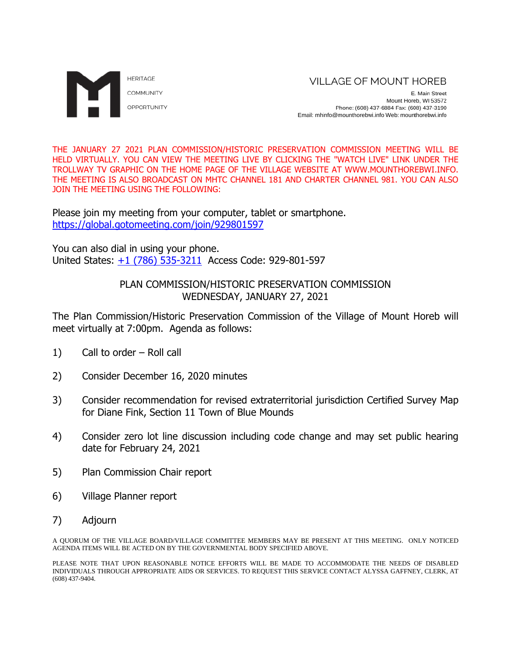

E. Main Street Mount Horeb, WI 53572 Phone: (608) 437-6884 Fax: (608) 437-3190 Email: mhinfo@mounthorebwi.info Web: mounthorebwi.info

THE JANUARY 27 2021 PLAN COMMISSION/HISTORIC PRESERVATION COMMISSION MEETING WILL BE HELD VIRTUALLY. YOU CAN VIEW THE MEETING LIVE BY CLICKING THE "WATCH LIVE" LINK UNDER THE TROLLWAY TV GRAPHIC ON THE HOME PAGE OF THE VILLAGE WEBSITE AT WWW.MOUNTHOREBWI.INFO. THE MEETING IS ALSO BROADCAST ON MHTC CHANNEL 181 AND CHARTER CHANNEL 981. YOU CAN ALSO JOIN THE MEETING USING THE FOLLOWING:

Please join my meeting from your computer, tablet or smartphone. <https://global.gotomeeting.com/join/929801597>

You can also dial in using your phone. United States: [+1 \(786\) 535-3211](tel:+17865353211,,929801597) Access Code: 929-801-597

# PLAN COMMISSION/HISTORIC PRESERVATION COMMISSION WEDNESDAY, JANUARY 27, 2021

The Plan Commission/Historic Preservation Commission of the Village of Mount Horeb will meet virtually at 7:00pm. Agenda as follows:

- 1) Call to order Roll call
- 2) Consider December 16, 2020 minutes
- 3) Consider recommendation for revised extraterritorial jurisdiction Certified Survey Map for Diane Fink, Section 11 Town of Blue Mounds
- 4) Consider zero lot line discussion including code change and may set public hearing date for February 24, 2021
- 5) Plan Commission Chair report
- 6) Village Planner report
- 7) Adjourn

A QUORUM OF THE VILLAGE BOARD/VILLAGE COMMITTEE MEMBERS MAY BE PRESENT AT THIS MEETING. ONLY NOTICED AGENDA ITEMS WILL BE ACTED ON BY THE GOVERNMENTAL BODY SPECIFIED ABOVE.

PLEASE NOTE THAT UPON REASONABLE NOTICE EFFORTS WILL BE MADE TO ACCOMMODATE THE NEEDS OF DISABLED INDIVIDUALS THROUGH APPROPRIATE AIDS OR SERVICES. TO REQUEST THIS SERVICE CONTACT ALYSSA GAFFNEY, CLERK, AT (608) 437-9404.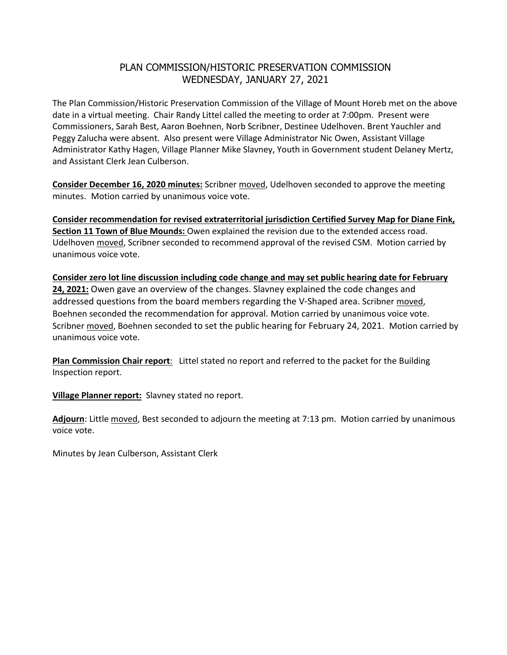# PLAN COMMISSION/HISTORIC PRESERVATION COMMISSION WEDNESDAY, JANUARY 27, 2021

The Plan Commission/Historic Preservation Commission of the Village of Mount Horeb met on the above date in a virtual meeting. Chair Randy Littel called the meeting to order at 7:00pm. Present were Commissioners, Sarah Best, Aaron Boehnen, Norb Scribner, Destinee Udelhoven. Brent Yauchler and Peggy Zalucha were absent. Also present were Village Administrator Nic Owen, Assistant Village Administrator Kathy Hagen, Village Planner Mike Slavney, Youth in Government student Delaney Mertz, and Assistant Clerk Jean Culberson.

**Consider December 16, 2020 minutes:** Scribner moved, Udelhoven seconded to approve the meeting minutes. Motion carried by unanimous voice vote.

**Consider recommendation for revised extraterritorial jurisdiction Certified Survey Map for Diane Fink, Section 11 Town of Blue Mounds:** Owen explained the revision due to the extended access road. Udelhoven moved, Scribner seconded to recommend approval of the revised CSM. Motion carried by unanimous voice vote.

**Consider zero lot line discussion including code change and may set public hearing date for February 24, 2021:** Owen gave an overview of the changes. Slavney explained the code changes and addressed questions from the board members regarding the V-Shaped area. Scribner moved, Boehnen seconded the recommendation for approval. Motion carried by unanimous voice vote. Scribner moved, Boehnen seconded to set the public hearing for February 24, 2021. Motion carried by unanimous voice vote.

**Plan Commission Chair report**: Littel stated no report and referred to the packet for the Building Inspection report.

**Village Planner report:** Slavney stated no report.

**Adjourn**: Little moved, Best seconded to adjourn the meeting at 7:13 pm. Motion carried by unanimous voice vote.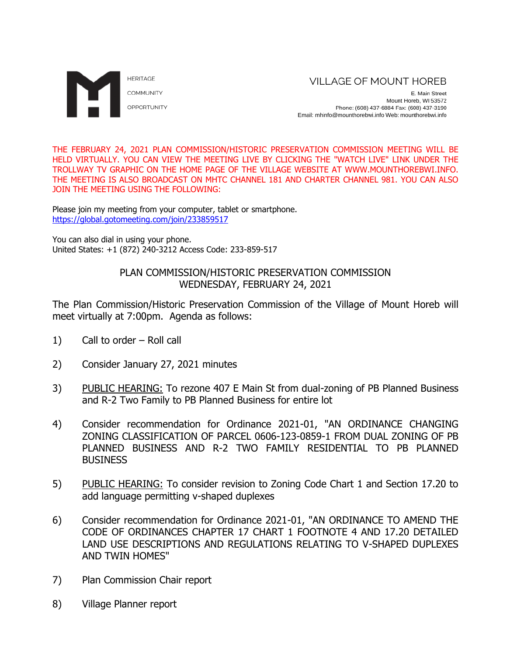

E. Main Street Mount Horeb, WI 53572 Phone: (608) 437-6884 Fax: (608) 437-3190 Email: mhinfo@mounthorebwi.info Web: mounthorebwi.info

THE FEBRUARY 24, 2021 PLAN COMMISSION/HISTORIC PRESERVATION COMMISSION MEETING WILL BE HELD VIRTUALLY. YOU CAN VIEW THE MEETING LIVE BY CLICKING THE "WATCH LIVE" LINK UNDER THE TROLLWAY TV GRAPHIC ON THE HOME PAGE OF THE VILLAGE WEBSITE AT WWW.MOUNTHOREBWI.INFO. THE MEETING IS ALSO BROADCAST ON MHTC CHANNEL 181 AND CHARTER CHANNEL 981. YOU CAN ALSO JOIN THE MEETING USING THE FOLLOWING:

Please join my meeting from your computer, tablet or smartphone. <https://global.gotomeeting.com/join/233859517>

You can also dial in using your phone. United States: +1 (872) 240-3212 Access Code: 233-859-517

# PLAN COMMISSION/HISTORIC PRESERVATION COMMISSION WEDNESDAY, FEBRUARY 24, 2021

The Plan Commission/Historic Preservation Commission of the Village of Mount Horeb will meet virtually at 7:00pm. Agenda as follows:

- 1) Call to order Roll call
- 2) Consider January 27, 2021 minutes
- 3) PUBLIC HEARING: To rezone 407 E Main St from dual-zoning of PB Planned Business and R-2 Two Family to PB Planned Business for entire lot
- 4) Consider recommendation for Ordinance 2021-01, "AN ORDINANCE CHANGING ZONING CLASSIFICATION OF PARCEL 0606-123-0859-1 FROM DUAL ZONING OF PB PLANNED BUSINESS AND R-2 TWO FAMILY RESIDENTIAL TO PB PLANNED **BUSINESS**
- 5) PUBLIC HEARING: To consider revision to Zoning Code Chart 1 and Section 17.20 to add language permitting v-shaped duplexes
- 6) Consider recommendation for Ordinance 2021-01, "AN ORDINANCE TO AMEND THE CODE OF ORDINANCES CHAPTER 17 CHART 1 FOOTNOTE 4 AND 17.20 DETAILED LAND USE DESCRIPTIONS AND REGULATIONS RELATING TO V-SHAPED DUPLEXES AND TWIN HOMES"
- 7) Plan Commission Chair report
- 8) Village Planner report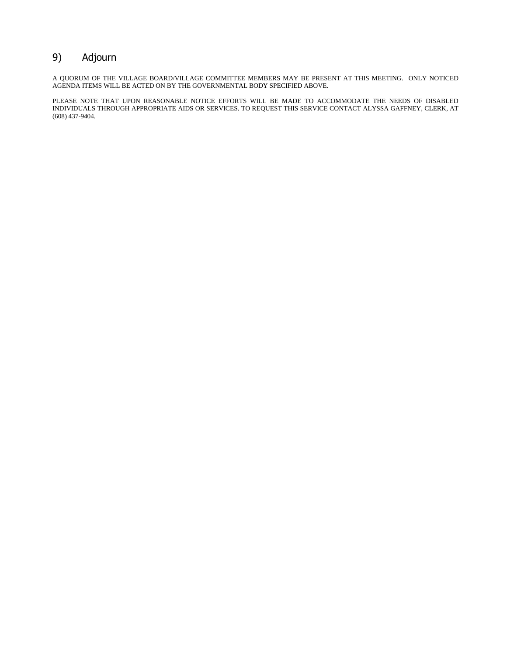# 9) Adjourn

A QUORUM OF THE VILLAGE BOARD/VILLAGE COMMITTEE MEMBERS MAY BE PRESENT AT THIS MEETING. ONLY NOTICED AGENDA ITEMS WILL BE ACTED ON BY THE GOVERNMENTAL BODY SPECIFIED ABOVE.

PLEASE NOTE THAT UPON REASONABLE NOTICE EFFORTS WILL BE MADE TO ACCOMMODATE THE NEEDS OF DISABLED INDIVIDUALS THROUGH APPROPRIATE AIDS OR SERVICES. TO REQUEST THIS SERVICE CONTACT ALYSSA GAFFNEY, CLERK, AT (608) 437-9404.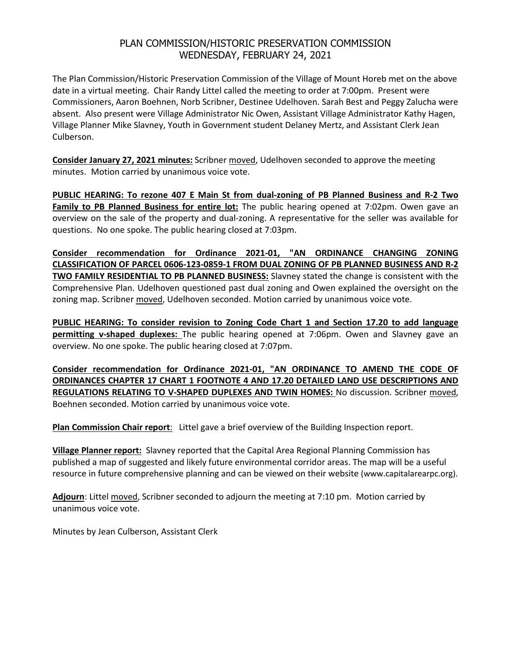# PLAN COMMISSION/HISTORIC PRESERVATION COMMISSION WEDNESDAY, FEBRUARY 24, 2021

The Plan Commission/Historic Preservation Commission of the Village of Mount Horeb met on the above date in a virtual meeting. Chair Randy Littel called the meeting to order at 7:00pm. Present were Commissioners, Aaron Boehnen, Norb Scribner, Destinee Udelhoven. Sarah Best and Peggy Zalucha were absent. Also present were Village Administrator Nic Owen, Assistant Village Administrator Kathy Hagen, Village Planner Mike Slavney, Youth in Government student Delaney Mertz, and Assistant Clerk Jean Culberson.

**Consider January 27, 2021 minutes:** Scribner moved, Udelhoven seconded to approve the meeting minutes. Motion carried by unanimous voice vote.

**PUBLIC HEARING: To rezone 407 E Main St from dual-zoning of PB Planned Business and R-2 Two Family to PB Planned Business for entire lot:** The public hearing opened at 7:02pm. Owen gave an overview on the sale of the property and dual-zoning. A representative for the seller was available for questions. No one spoke. The public hearing closed at 7:03pm.

**Consider recommendation for Ordinance 2021-01, "AN ORDINANCE CHANGING ZONING CLASSIFICATION OF PARCEL 0606-123-0859-1 FROM DUAL ZONING OF PB PLANNED BUSINESS AND R-2 TWO FAMILY RESIDENTIAL TO PB PLANNED BUSINESS:** Slavney stated the change is consistent with the Comprehensive Plan. Udelhoven questioned past dual zoning and Owen explained the oversight on the zoning map. Scribner moved, Udelhoven seconded. Motion carried by unanimous voice vote.

**PUBLIC HEARING: To consider revision to Zoning Code Chart 1 and Section 17.20 to add language permitting v-shaped duplexes:** The public hearing opened at 7:06pm. Owen and Slavney gave an overview. No one spoke. The public hearing closed at 7:07pm.

**Consider recommendation for Ordinance 2021-01, "AN ORDINANCE TO AMEND THE CODE OF ORDINANCES CHAPTER 17 CHART 1 FOOTNOTE 4 AND 17.20 DETAILED LAND USE DESCRIPTIONS AND REGULATIONS RELATING TO V-SHAPED DUPLEXES AND TWIN HOMES:** No discussion. Scribner moved, Boehnen seconded. Motion carried by unanimous voice vote.

**Plan Commission Chair report**: Littel gave a brief overview of the Building Inspection report.

**Village Planner report:** Slavney reported that the Capital Area Regional Planning Commission has published a map of suggested and likely future environmental corridor areas. The map will be a useful resource in future comprehensive planning and can be viewed on their website (www.capitalarearpc.org).

**Adjourn**: Littel moved, Scribner seconded to adjourn the meeting at 7:10 pm. Motion carried by unanimous voice vote.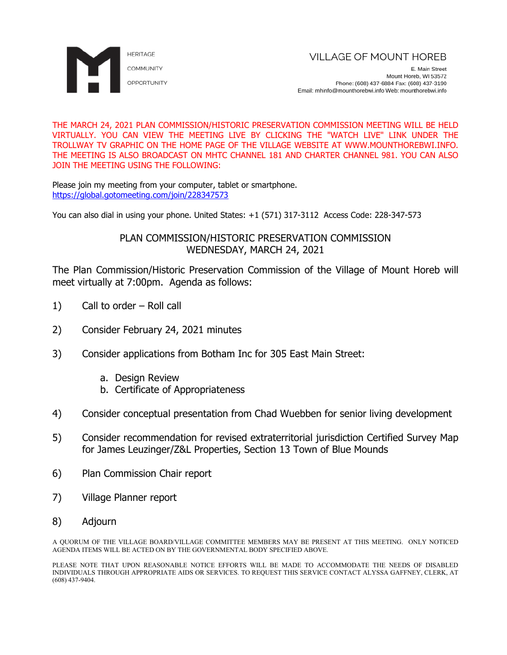

F. Main Street Mount Horeb, WI 53572 Phone: (608) 437-6884 Fax: (608) 437-3190 Email: mhinfo@mounthorebwi.info Web: mounthorebwi.info

THE MARCH 24, 2021 PLAN COMMISSION/HISTORIC PRESERVATION COMMISSION MEETING WILL BE HELD VIRTUALLY. YOU CAN VIEW THE MEETING LIVE BY CLICKING THE "WATCH LIVE" LINK UNDER THE TROLLWAY TV GRAPHIC ON THE HOME PAGE OF THE VILLAGE WEBSITE AT WWW.MOUNTHOREBWI.INFO. THE MEETING IS ALSO BROADCAST ON MHTC CHANNEL 181 AND CHARTER CHANNEL 981. YOU CAN ALSO JOIN THE MEETING USING THE FOLLOWING:

Please join my meeting from your computer, tablet or smartphone. https://global.gotomeeting.com/join/228347573

You can also dial in using your phone. United States: +1 (571) 317-3112 Access Code: 228-347-573

### PLAN COMMISSION/HISTORIC PRESERVATION COMMISSION WEDNESDAY, MARCH 24, 2021

The Plan Commission/Historic Preservation Commission of the Village of Mount Horeb will meet virtually at 7:00pm. Agenda as follows:

- 1) Call to order Roll call
- 2) Consider February 24, 2021 minutes
- 3) Consider applications from Botham Inc for 305 East Main Street:
	- a. Design Review
	- b. Certificate of Appropriateness
- 4) Consider conceptual presentation from Chad Wuebben for senior living development
- 5) Consider recommendation for revised extraterritorial jurisdiction Certified Survey Map for James Leuzinger/Z&L Properties, Section 13 Town of Blue Mounds
- 6) Plan Commission Chair report
- 7) Village Planner report
- 8) Adjourn

A QUORUM OF THE VILLAGE BOARD/VILLAGE COMMITTEE MEMBERS MAY BE PRESENT AT THIS MEETING. ONLY NOTICED AGENDA ITEMS WILL BE ACTED ON BY THE GOVERNMENTAL BODY SPECIFIED ABOVE.

PLEASE NOTE THAT UPON REASONABLE NOTICE EFFORTS WILL BE MADE TO ACCOMMODATE THE NEEDS OF DISABLED INDIVIDUALS THROUGH APPROPRIATE AIDS OR SERVICES. TO REQUEST THIS SERVICE CONTACT ALYSSA GAFFNEY, CLERK, AT (608) 437-9404.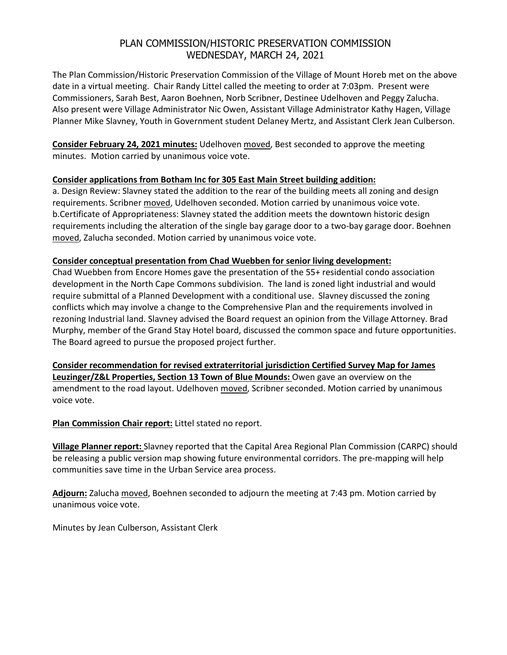# PLAN COMMISSION/HISTORIC PRESERVATION COMMISSION WEDNESDAY, MARCH 24, 2021

The Plan Commission/Historic Preservation Commission of the Village of Mount Horeb met on the above date in a virtual meeting. Chair Randy Littel called the meeting to order at 7:03pm. Present were Commissioners, Sarah Best, Aaron Boehnen, Norb Scribner, Destinee Udelhoven and Peggy Zalucha. Also present were Village Administrator Nic Owen, Assistant Village Administrator Kathy Hagen, Village Planner Mike Slavney, Youth in Government student Delaney Mertz, and Assistant Clerk Jean Culberson.

**Consider February 24, 2021 minutes:** Udelhoven moved, Best seconded to approve the meeting minutes. Motion carried by unanimous voice vote.

### **Consider applications from Botham Inc for 305 East Main Street building addition:**

a. Design Review: Slavney stated the addition to the rear of the building meets all zoning and design requirements. Scribner moved, Udelhoven seconded. Motion carried by unanimous voice vote. b.Certificate of Appropriateness: Slavney stated the addition meets the downtown historic design requirements including the alteration of the single bay garage door to a two-bay garage door. Boehnen moved, Zalucha seconded. Motion carried by unanimous voice vote.

### **Consider conceptual presentation from Chad Wuebben for senior living development:**

Chad Wuebben from Encore Homes gave the presentation of the 55+ residential condo association development in the North Cape Commons subdivision. The land is zoned light industrial and would require submittal of a Planned Development with a conditional use. Slavney discussed the zoning conflicts which may involve a change to the Comprehensive Plan and the requirements involved in rezoning Industrial land. Slavney advised the Board request an opinion from the Village Attorney. Brad Murphy, member of the Grand Stay Hotel board, discussed the common space and future opportunities. The Board agreed to pursue the proposed project further.

**Consider recommendation for revised extraterritorial jurisdiction Certified Survey Map for James Leuzinger/Z&L Properties, Section 13 Town of Blue Mounds:** Owen gave an overview on the amendment to the road layout. Udelhoven moved, Scribner seconded. Motion carried by unanimous voice vote.

**Plan Commission Chair report:** Littel stated no report.

**Village Planner report:** Slavney reported that the Capital Area Regional Plan Commission (CARPC) should be releasing a public version map showing future environmental corridors. The pre-mapping will help communities save time in the Urban Service area process.

**Adjourn:** Zalucha moved, Boehnen seconded to adjourn the meeting at 7:43 pm. Motion carried by unanimous voice vote.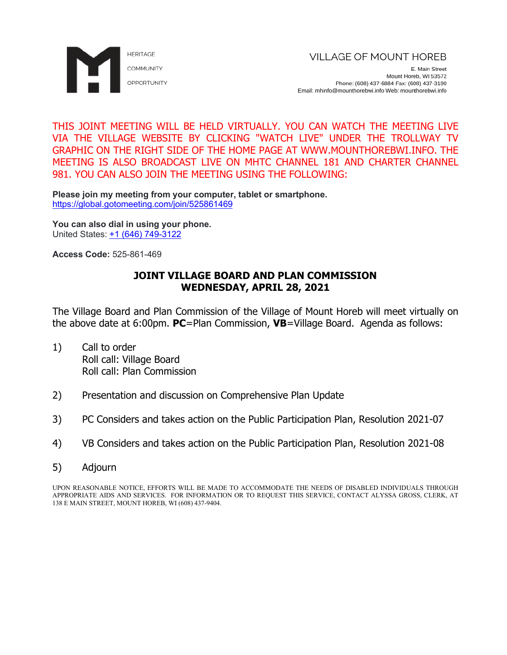

THIS JOINT MEETING WILL BE HELD VIRTUALLY. YOU CAN WATCH THE MEETING LIVE VIA THE VILLAGE WEBSITE BY CLICKING "WATCH LIVE" UNDER THE TROLLWAY TV GRAPHIC ON THE RIGHT SIDE OF THE HOME PAGE AT WWW.MOUNTHOREBWI.INFO. THE MEETING IS ALSO BROADCAST LIVE ON MHTC CHANNEL 181 AND CHARTER CHANNEL 981. YOU CAN ALSO JOIN THE MEETING USING THE FOLLOWING:

**Please join my meeting from your computer, tablet or smartphone.** <https://global.gotomeeting.com/join/525861469>

**You can also dial in using your phone.** United States: [+1 \(646\) 749-3122](tel:+16467493122,,525861469)

**Access Code:** 525-861-469

# **JOINT VILLAGE BOARD AND PLAN COMMISSION WEDNESDAY, APRIL 28, 2021**

The Village Board and Plan Commission of the Village of Mount Horeb will meet virtually on the above date at 6:00pm. **PC**=Plan Commission, **VB**=Village Board. Agenda as follows:

- 1) Call to order Roll call: Village Board Roll call: Plan Commission
- 2) Presentation and discussion on Comprehensive Plan Update
- 3) PC Considers and takes action on the Public Participation Plan, Resolution 2021-07
- 4) VB Considers and takes action on the Public Participation Plan, Resolution 2021-08
- 5) Adjourn

UPON REASONABLE NOTICE, EFFORTS WILL BE MADE TO ACCOMMODATE THE NEEDS OF DISABLED INDIVIDUALS THROUGH APPROPRIATE AIDS AND SERVICES. FOR INFORMATION OR TO REQUEST THIS SERVICE, CONTACT ALYSSA GROSS, CLERK, AT 138 E MAIN STREET, MOUNT HOREB, WI (608) 437-9404.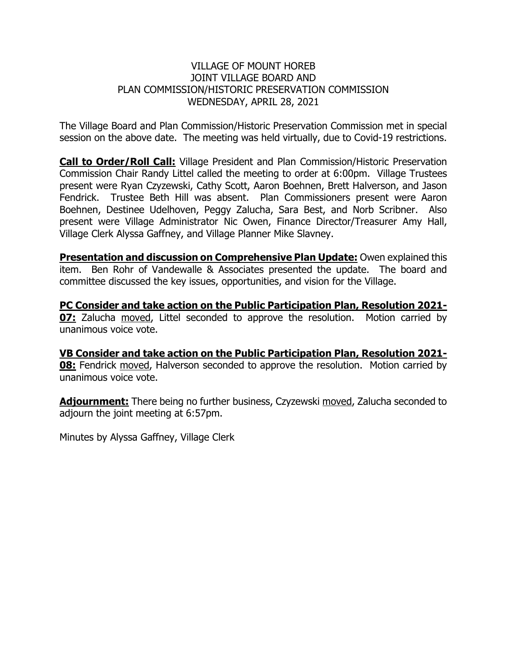# VILLAGE OF MOUNT HOREB JOINT VILLAGE BOARD AND PLAN COMMISSION/HISTORIC PRESERVATION COMMISSION WEDNESDAY, APRIL 28, 2021

The Village Board and Plan Commission/Historic Preservation Commission met in special session on the above date. The meeting was held virtually, due to Covid-19 restrictions.

**Call to Order/Roll Call:** Village President and Plan Commission/Historic Preservation Commission Chair Randy Littel called the meeting to order at 6:00pm. Village Trustees present were Ryan Czyzewski, Cathy Scott, Aaron Boehnen, Brett Halverson, and Jason Fendrick. Trustee Beth Hill was absent. Plan Commissioners present were Aaron Boehnen, Destinee Udelhoven, Peggy Zalucha, Sara Best, and Norb Scribner. Also present were Village Administrator Nic Owen, Finance Director/Treasurer Amy Hall, Village Clerk Alyssa Gaffney, and Village Planner Mike Slavney.

**Presentation and discussion on Comprehensive Plan Update:** Owen explained this item. Ben Rohr of Vandewalle & Associates presented the update. The board and committee discussed the key issues, opportunities, and vision for the Village.

**PC Consider and take action on the Public Participation Plan, Resolution 2021- 07:** Zalucha moved, Littel seconded to approve the resolution. Motion carried by unanimous voice vote.

**VB Consider and take action on the Public Participation Plan, Resolution 2021- 08:** Fendrick moved, Halverson seconded to approve the resolution. Motion carried by unanimous voice vote.

**Adjournment:** There being no further business, Czyzewski moved, Zalucha seconded to adjourn the joint meeting at 6:57pm.

Minutes by Alyssa Gaffney, Village Clerk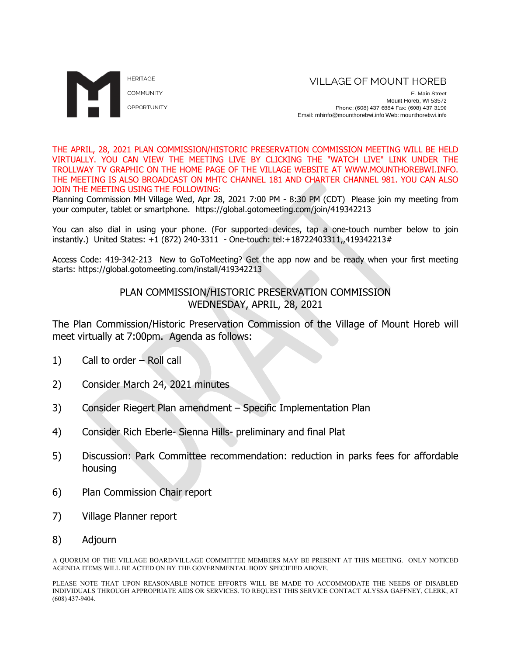

E. Main Street Mount Horeb, WI 53572 Phone: (608) 437-6884 Fax: (608) 437-3190 Email: mhinfo@mounthorebwi.info Web: mounthorebwi.info

THE APRIL, 28, 2021 PLAN COMMISSION/HISTORIC PRESERVATION COMMISSION MEETING WILL BE HELD VIRTUALLY. YOU CAN VIEW THE MEETING LIVE BY CLICKING THE "WATCH LIVE" LINK UNDER THE TROLLWAY TV GRAPHIC ON THE HOME PAGE OF THE VILLAGE WEBSITE AT WWW.MOUNTHOREBWI.INFO. THE MEETING IS ALSO BROADCAST ON MHTC CHANNEL 181 AND CHARTER CHANNEL 981. YOU CAN ALSO JOIN THE MEETING USING THE FOLLOWING:

Planning Commission MH Village Wed, Apr 28, 2021 7:00 PM - 8:30 PM (CDT) Please join my meeting from your computer, tablet or smartphone. https://global.gotomeeting.com/join/419342213

You can also dial in using your phone. (For supported devices, tap a one-touch number below to join instantly.) United States: +1 (872) 240-3311 - One-touch: tel:+18722403311,,419342213#

Access Code: 419-342-213 New to GoToMeeting? Get the app now and be ready when your first meeting starts: https://global.gotomeeting.com/install/419342213

# PLAN COMMISSION/HISTORIC PRESERVATION COMMISSION WEDNESDAY, APRIL, 28, 2021

The Plan Commission/Historic Preservation Commission of the Village of Mount Horeb will meet virtually at 7:00pm. Agenda as follows:

- 1) Call to order Roll call
- 2) Consider March 24, 2021 minutes
- 3) Consider Riegert Plan amendment Specific Implementation Plan
- 4) Consider Rich Eberle- Sienna Hills- preliminary and final Plat
- 5) Discussion: Park Committee recommendation: reduction in parks fees for affordable housing
- 6) Plan Commission Chair report
- 7) Village Planner report
- 8) Adjourn

A QUORUM OF THE VILLAGE BOARD/VILLAGE COMMITTEE MEMBERS MAY BE PRESENT AT THIS MEETING. ONLY NOTICED AGENDA ITEMS WILL BE ACTED ON BY THE GOVERNMENTAL BODY SPECIFIED ABOVE.

PLEASE NOTE THAT UPON REASONABLE NOTICE EFFORTS WILL BE MADE TO ACCOMMODATE THE NEEDS OF DISABLED INDIVIDUALS THROUGH APPROPRIATE AIDS OR SERVICES. TO REQUEST THIS SERVICE CONTACT ALYSSA GAFFNEY, CLERK, AT (608) 437-9404.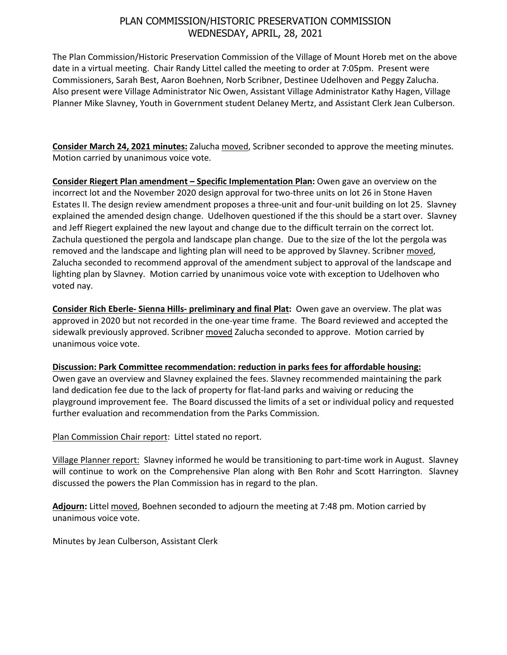# PLAN COMMISSION/HISTORIC PRESERVATION COMMISSION WEDNESDAY, APRIL, 28, 2021

The Plan Commission/Historic Preservation Commission of the Village of Mount Horeb met on the above date in a virtual meeting. Chair Randy Littel called the meeting to order at 7:05pm. Present were Commissioners, Sarah Best, Aaron Boehnen, Norb Scribner, Destinee Udelhoven and Peggy Zalucha. Also present were Village Administrator Nic Owen, Assistant Village Administrator Kathy Hagen, Village Planner Mike Slavney, Youth in Government student Delaney Mertz, and Assistant Clerk Jean Culberson.

**Consider March 24, 2021 minutes:** Zalucha moved, Scribner seconded to approve the meeting minutes. Motion carried by unanimous voice vote.

**Consider Riegert Plan amendment – Specific Implementation Plan:** Owen gave an overview on the incorrect lot and the November 2020 design approval for two-three units on lot 26 in Stone Haven Estates II. The design review amendment proposes a three-unit and four-unit building on lot 25. Slavney explained the amended design change. Udelhoven questioned if the this should be a start over. Slavney and Jeff Riegert explained the new layout and change due to the difficult terrain on the correct lot. Zachula questioned the pergola and landscape plan change. Due to the size of the lot the pergola was removed and the landscape and lighting plan will need to be approved by Slavney. Scribner moved, Zalucha seconded to recommend approval of the amendment subject to approval of the landscape and lighting plan by Slavney. Motion carried by unanimous voice vote with exception to Udelhoven who voted nay.

**Consider Rich Eberle- Sienna Hills- preliminary and final Plat:** Owen gave an overview. The plat was approved in 2020 but not recorded in the one-year time frame. The Board reviewed and accepted the sidewalk previously approved. Scribner moved Zalucha seconded to approve. Motion carried by unanimous voice vote.

**Discussion: Park Committee recommendation: reduction in parks fees for affordable housing:** Owen gave an overview and Slavney explained the fees. Slavney recommended maintaining the park land dedication fee due to the lack of property for flat-land parks and waiving or reducing the playground improvement fee. The Board discussed the limits of a set or individual policy and requested further evaluation and recommendation from the Parks Commission.

Plan Commission Chair report: Littel stated no report.

Village Planner report: Slavney informed he would be transitioning to part-time work in August. Slavney will continue to work on the Comprehensive Plan along with Ben Rohr and Scott Harrington. Slavney discussed the powers the Plan Commission has in regard to the plan.

**Adjourn:** Littel moved, Boehnen seconded to adjourn the meeting at 7:48 pm. Motion carried by unanimous voice vote.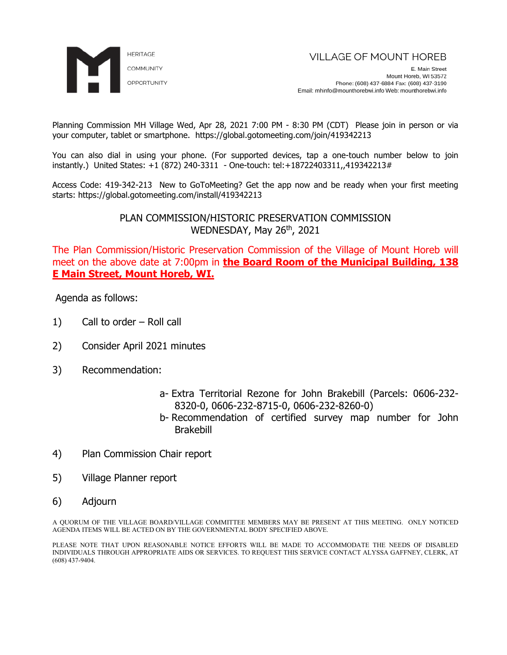

Planning Commission MH Village Wed, Apr 28, 2021 7:00 PM - 8:30 PM (CDT) Please join in person or via your computer, tablet or smartphone. https://global.gotomeeting.com/join/419342213

You can also dial in using your phone. (For supported devices, tap a one-touch number below to join instantly.) United States: +1 (872) 240-3311 - One-touch: tel:+18722403311,,419342213#

Access Code: 419-342-213 New to GoToMeeting? Get the app now and be ready when your first meeting starts: https://global.gotomeeting.com/install/419342213

> PLAN COMMISSION/HISTORIC PRESERVATION COMMISSION WEDNESDAY, May 26<sup>th</sup>, 2021

The Plan Commission/Historic Preservation Commission of the Village of Mount Horeb will meet on the above date at 7:00pm in **the Board Room of the Municipal Building, 138 E Main Street, Mount Horeb, WI.**

Agenda as follows:

- 1) Call to order Roll call
- 2) Consider April 2021 minutes
- 3) Recommendation:
	- a- Extra Territorial Rezone for John Brakebill (Parcels: 0606-232- 8320-0, 0606-232-8715-0, 0606-232-8260-0)
	- b- Recommendation of certified survey map number for John Brakebill
- 4) Plan Commission Chair report
- 5) Village Planner report
- 6) Adjourn

A QUORUM OF THE VILLAGE BOARD/VILLAGE COMMITTEE MEMBERS MAY BE PRESENT AT THIS MEETING. ONLY NOTICED AGENDA ITEMS WILL BE ACTED ON BY THE GOVERNMENTAL BODY SPECIFIED ABOVE.

PLEASE NOTE THAT UPON REASONABLE NOTICE EFFORTS WILL BE MADE TO ACCOMMODATE THE NEEDS OF DISABLED INDIVIDUALS THROUGH APPROPRIATE AIDS OR SERVICES. TO REQUEST THIS SERVICE CONTACT ALYSSA GAFFNEY, CLERK, AT (608) 437-9404.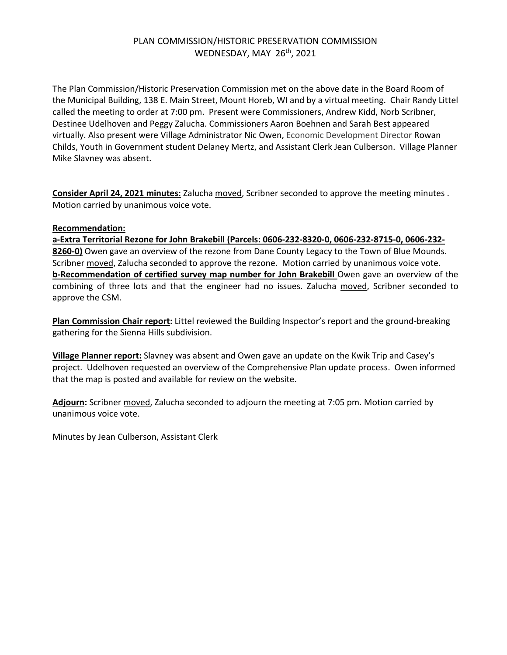# PLAN COMMISSION/HISTORIC PRESERVATION COMMISSION WEDNESDAY, MAY 26<sup>th</sup>, 2021

The Plan Commission/Historic Preservation Commission met on the above date in the Board Room of the Municipal Building, 138 E. Main Street, Mount Horeb, WI and by a virtual meeting. Chair Randy Littel called the meeting to order at 7:00 pm. Present were Commissioners, Andrew Kidd, Norb Scribner, Destinee Udelhoven and Peggy Zalucha. Commissioners Aaron Boehnen and Sarah Best appeared virtually. Also present were Village Administrator Nic Owen, Economic Development Director Rowan Childs, Youth in Government student Delaney Mertz, and Assistant Clerk Jean Culberson. Village Planner Mike Slavney was absent.

**Consider April 24, 2021 minutes:** Zalucha moved, Scribner seconded to approve the meeting minutes . Motion carried by unanimous voice vote.

### **Recommendation:**

**a-Extra Territorial Rezone for John Brakebill (Parcels: 0606-232-8320-0, 0606-232-8715-0, 0606-232- 8260-0)** Owen gave an overview of the rezone from Dane County Legacy to the Town of Blue Mounds. Scribner moved, Zalucha seconded to approve the rezone. Motion carried by unanimous voice vote. **b-Recommendation of certified survey map number for John Brakebill** Owen gave an overview of the combining of three lots and that the engineer had no issues. Zalucha moved, Scribner seconded to approve the CSM.

**Plan Commission Chair report:** Littel reviewed the Building Inspector's report and the ground-breaking gathering for the Sienna Hills subdivision.

**Village Planner report:** Slavney was absent and Owen gave an update on the Kwik Trip and Casey's project. Udelhoven requested an overview of the Comprehensive Plan update process. Owen informed that the map is posted and available for review on the website.

**Adjourn:** Scribner moved, Zalucha seconded to adjourn the meeting at 7:05 pm. Motion carried by unanimous voice vote.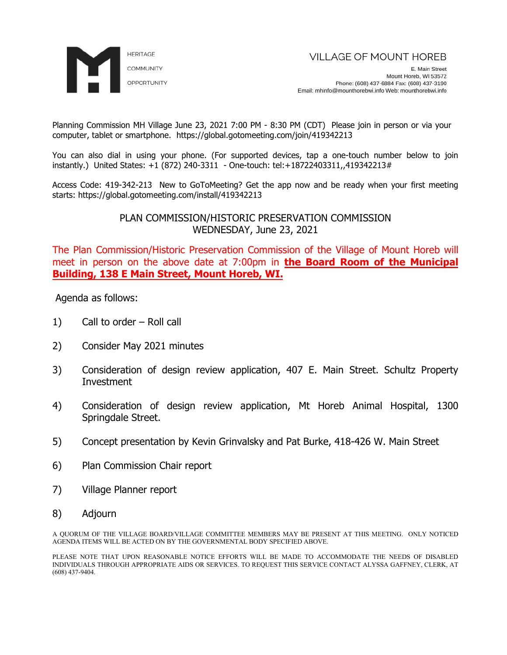

Planning Commission MH Village June 23, 2021 7:00 PM - 8:30 PM (CDT) Please join in person or via your computer, tablet or smartphone. https://global.gotomeeting.com/join/419342213

You can also dial in using your phone. (For supported devices, tap a one-touch number below to join instantly.) United States: +1 (872) 240-3311 - One-touch: tel:+18722403311,,419342213#

Access Code: 419-342-213 New to GoToMeeting? Get the app now and be ready when your first meeting starts: https://global.gotomeeting.com/install/419342213

> PLAN COMMISSION/HISTORIC PRESERVATION COMMISSION WEDNESDAY, June 23, 2021

The Plan Commission/Historic Preservation Commission of the Village of Mount Horeb will meet in person on the above date at 7:00pm in **the Board Room of the Municipal Building, 138 E Main Street, Mount Horeb, WI.** 

Agenda as follows:

- 1) Call to order Roll call
- 2) Consider May 2021 minutes
- 3) Consideration of design review application, 407 E. Main Street. Schultz Property Investment
- 4) Consideration of design review application, Mt Horeb Animal Hospital, 1300 Springdale Street.
- 5) Concept presentation by Kevin Grinvalsky and Pat Burke, 418-426 W. Main Street
- 6) Plan Commission Chair report
- 7) Village Planner report
- 8) Adjourn

A QUORUM OF THE VILLAGE BOARD/VILLAGE COMMITTEE MEMBERS MAY BE PRESENT AT THIS MEETING. ONLY NOTICED AGENDA ITEMS WILL BE ACTED ON BY THE GOVERNMENTAL BODY SPECIFIED ABOVE.

PLEASE NOTE THAT UPON REASONABLE NOTICE EFFORTS WILL BE MADE TO ACCOMMODATE THE NEEDS OF DISABLED INDIVIDUALS THROUGH APPROPRIATE AIDS OR SERVICES. TO REQUEST THIS SERVICE CONTACT ALYSSA GAFFNEY, CLERK, AT (608) 437-9404.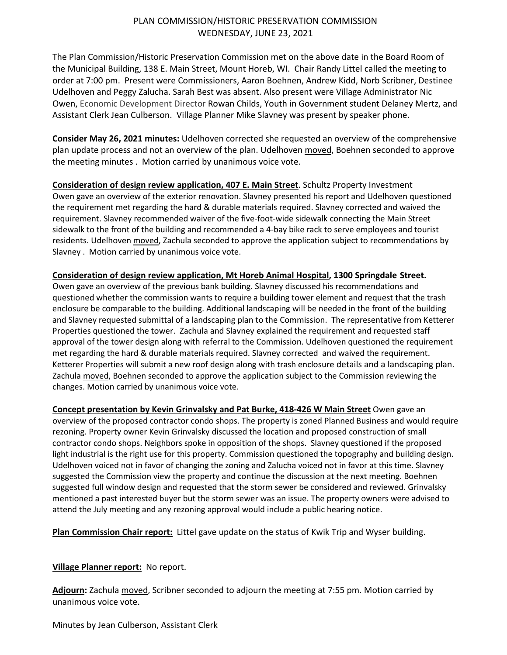## PLAN COMMISSION/HISTORIC PRESERVATION COMMISSION WEDNESDAY, JUNE 23, 2021

The Plan Commission/Historic Preservation Commission met on the above date in the Board Room of the Municipal Building, 138 E. Main Street, Mount Horeb, WI. Chair Randy Littel called the meeting to order at 7:00 pm. Present were Commissioners, Aaron Boehnen, Andrew Kidd, Norb Scribner, Destinee Udelhoven and Peggy Zalucha. Sarah Best was absent. Also present were Village Administrator Nic Owen, Economic Development Director Rowan Childs, Youth in Government student Delaney Mertz, and Assistant Clerk Jean Culberson. Village Planner Mike Slavney was present by speaker phone.

**Consider May 26, 2021 minutes:** Udelhoven corrected she requested an overview of the comprehensive plan update process and not an overview of the plan. Udelhoven moved, Boehnen seconded to approve the meeting minutes . Motion carried by unanimous voice vote.

**Consideration of design review application, 407 E. Main Street**. Schultz Property Investment Owen gave an overview of the exterior renovation. Slavney presented his report and Udelhoven questioned the requirement met regarding the hard & durable materials required. Slavney corrected and waived the requirement. Slavney recommended waiver of the five-foot-wide sidewalk connecting the Main Street sidewalk to the front of the building and recommended a 4-bay bike rack to serve employees and tourist residents. Udelhoven moved, Zachula seconded to approve the application subject to recommendations by Slavney . Motion carried by unanimous voice vote.

### **Consideration of design review application, Mt Horeb Animal Hospital, 1300 Springdale Street.**

Owen gave an overview of the previous bank building. Slavney discussed his recommendations and questioned whether the commission wants to require a building tower element and request that the trash enclosure be comparable to the building. Additional landscaping will be needed in the front of the building and Slavney requested submittal of a landscaping plan to the Commission. The representative from Ketterer Properties questioned the tower. Zachula and Slavney explained the requirement and requested staff approval of the tower design along with referral to the Commission. Udelhoven questioned the requirement met regarding the hard & durable materials required. Slavney corrected and waived the requirement. Ketterer Properties will submit a new roof design along with trash enclosure details and a landscaping plan. Zachula moved, Boehnen seconded to approve the application subject to the Commission reviewing the changes. Motion carried by unanimous voice vote.

**Concept presentation by Kevin Grinvalsky and Pat Burke, 418-426 W Main Street** Owen gave an overview of the proposed contractor condo shops. The property is zoned Planned Business and would require rezoning. Property owner Kevin Grinvalsky discussed the location and proposed construction of small contractor condo shops. Neighbors spoke in opposition of the shops. Slavney questioned if the proposed light industrial is the right use for this property. Commission questioned the topography and building design. Udelhoven voiced not in favor of changing the zoning and Zalucha voiced not in favor at this time. Slavney suggested the Commission view the property and continue the discussion at the next meeting. Boehnen suggested full window design and requested that the storm sewer be considered and reviewed. Grinvalsky mentioned a past interested buyer but the storm sewer was an issue. The property owners were advised to attend the July meeting and any rezoning approval would include a public hearing notice.

**Plan Commission Chair report:** Littel gave update on the status of Kwik Trip and Wyser building.

## **Village Planner report:** No report.

**Adjourn:** Zachula moved, Scribner seconded to adjourn the meeting at 7:55 pm. Motion carried by unanimous voice vote.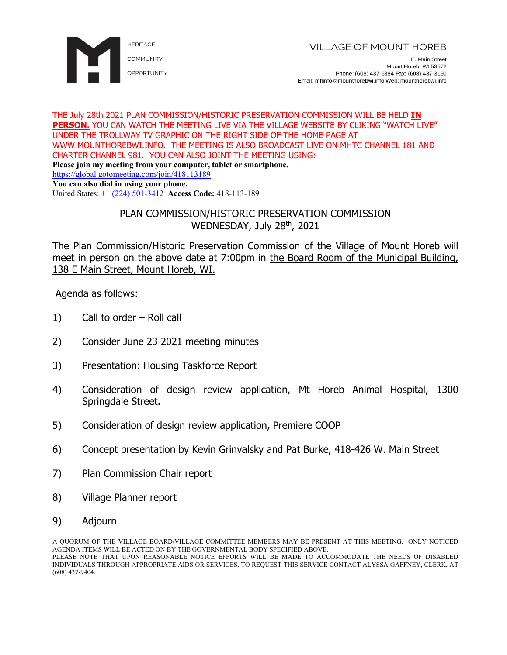

E. Main Street Mount Horeb, WI 53572 Phone: (608) 437-6884 Fax: (608) 437-3190 Email: mhinfo@mounthorebwi.info Web: mounthorebwi.info

#### THE July 28th 2021 PLAN COMMISSION/HISTORIC PRESERVATION COMMISSION WILL BE HELD **IN PERSON.** YOU CAN WATCH THE MEETING LIVE VIA THE VILLAGE WEBSITE BY CLIKING "WATCH LIVE" UNDER THE TROLLWAY TV GRAPHIC ON THE RIGHT SIDE OF THE HOME PAGE AT [WWW.MOUNTHOREBWI.INFO.](http://www.mounthorebwi.info/) THE MEETING IS ALSO BROADCAST LIVE ON MHTC CHANNEL 181 AND CHARTER CHANNEL 981. YOU CAN ALSO JOINT THE MEETING USING: **Please join my meeting from your computer, tablet or smartphone.**  <https://global.gotomeeting.com/join/418113189> **You can also dial in using your phone.**

United States: [+1 \(224\) 501-3412](tel:+12245013412,,418113189) **Access Code:** 418-113-189

# PLAN COMMISSION/HISTORIC PRESERVATION COMMISSION WEDNESDAY, July 28<sup>th</sup>, 2021

The Plan Commission/Historic Preservation Commission of the Village of Mount Horeb will meet in person on the above date at 7:00pm in the Board Room of the Municipal Building, 138 E Main Street, Mount Horeb, WI.

Agenda as follows:

- 1) Call to order Roll call
- 2) Consider June 23 2021 meeting minutes
- 3) Presentation: Housing Taskforce Report
- 4) Consideration of design review application, Mt Horeb Animal Hospital, 1300 Springdale Street.
- 5) Consideration of design review application, Premiere COOP
- 6) Concept presentation by Kevin Grinvalsky and Pat Burke, 418-426 W. Main Street
- 7) Plan Commission Chair report
- 8) Village Planner report
- 9) Adjourn

A QUORUM OF THE VILLAGE BOARD/VILLAGE COMMITTEE MEMBERS MAY BE PRESENT AT THIS MEETING. ONLY NOTICED AGENDA ITEMS WILL BE ACTED ON BY THE GOVERNMENTAL BODY SPECIFIED ABOVE. PLEASE NOTE THAT UPON REASONABLE NOTICE EFFORTS WILL BE MADE TO ACCOMMODATE THE NEEDS OF DISABLED INDIVIDUALS THROUGH APPROPRIATE AIDS OR SERVICES. TO REQUEST THIS SERVICE CONTACT ALYSSA GAFFNEY, CLERK, AT (608) 437-9404.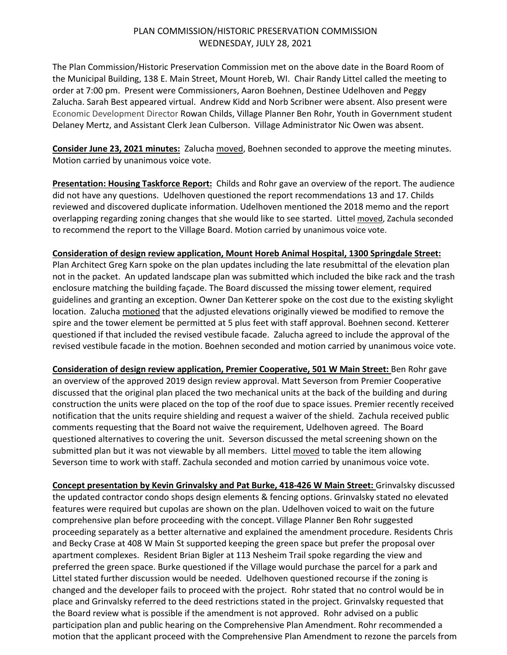## PLAN COMMISSION/HISTORIC PRESERVATION COMMISSION WEDNESDAY, JULY 28, 2021

The Plan Commission/Historic Preservation Commission met on the above date in the Board Room of the Municipal Building, 138 E. Main Street, Mount Horeb, WI. Chair Randy Littel called the meeting to order at 7:00 pm. Present were Commissioners, Aaron Boehnen, Destinee Udelhoven and Peggy Zalucha. Sarah Best appeared virtual. Andrew Kidd and Norb Scribner were absent. Also present were Economic Development Director Rowan Childs, Village Planner Ben Rohr, Youth in Government student Delaney Mertz, and Assistant Clerk Jean Culberson. Village Administrator Nic Owen was absent.

**Consider June 23, 2021 minutes:** Zalucha moved, Boehnen seconded to approve the meeting minutes. Motion carried by unanimous voice vote.

**Presentation: Housing Taskforce Report:** Childs and Rohr gave an overview of the report. The audience did not have any questions. Udelhoven questioned the report recommendations 13 and 17. Childs reviewed and discovered duplicate information. Udelhoven mentioned the 2018 memo and the report overlapping regarding zoning changes that she would like to see started. Littel moved, Zachula seconded to recommend the report to the Village Board. Motion carried by unanimous voice vote.

### **Consideration of design review application, Mount Horeb Animal Hospital, 1300 Springdale Street:**

Plan Architect Greg Karn spoke on the plan updates including the late resubmittal of the elevation plan not in the packet. An updated landscape plan was submitted which included the bike rack and the trash enclosure matching the building façade. The Board discussed the missing tower element, required guidelines and granting an exception. Owner Dan Ketterer spoke on the cost due to the existing skylight location. Zalucha motioned that the adjusted elevations originally viewed be modified to remove the spire and the tower element be permitted at 5 plus feet with staff approval. Boehnen second. Ketterer questioned if that included the revised vestibule facade. Zalucha agreed to include the approval of the revised vestibule facade in the motion. Boehnen seconded and motion carried by unanimous voice vote.

**Consideration of design review application, Premier Cooperative, 501 W Main Street:** Ben Rohr gave an overview of the approved 2019 design review approval. Matt Severson from Premier Cooperative discussed that the original plan placed the two mechanical units at the back of the building and during construction the units were placed on the top of the roof due to space issues. Premier recently received notification that the units require shielding and request a waiver of the shield. Zachula received public comments requesting that the Board not waive the requirement, Udelhoven agreed. The Board questioned alternatives to covering the unit. Severson discussed the metal screening shown on the submitted plan but it was not viewable by all members. Littel moved to table the item allowing Severson time to work with staff. Zachula seconded and motion carried by unanimous voice vote.

**Concept presentation by Kevin Grinvalsky and Pat Burke, 418-426 W Main Street:** Grinvalsky discussed the updated contractor condo shops design elements & fencing options. Grinvalsky stated no elevated features were required but cupolas are shown on the plan. Udelhoven voiced to wait on the future comprehensive plan before proceeding with the concept. Village Planner Ben Rohr suggested proceeding separately as a better alternative and explained the amendment procedure. Residents Chris and Becky Crase at 408 W Main St supported keeping the green space but prefer the proposal over apartment complexes. Resident Brian Bigler at 113 Nesheim Trail spoke regarding the view and preferred the green space. Burke questioned if the Village would purchase the parcel for a park and Littel stated further discussion would be needed. Udelhoven questioned recourse if the zoning is changed and the developer fails to proceed with the project. Rohr stated that no control would be in place and Grinvalsky referred to the deed restrictions stated in the project. Grinvalsky requested that the Board review what is possible if the amendment is not approved. Rohr advised on a public participation plan and public hearing on the Comprehensive Plan Amendment. Rohr recommended a motion that the applicant proceed with the Comprehensive Plan Amendment to rezone the parcels from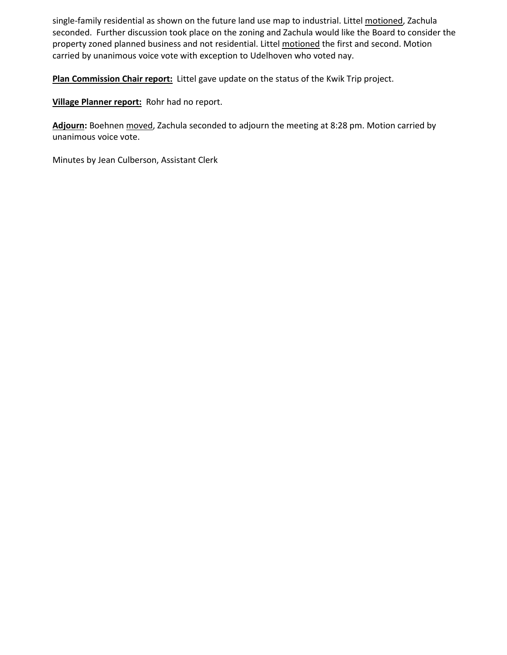single-family residential as shown on the future land use map to industrial. Littel motioned, Zachula seconded. Further discussion took place on the zoning and Zachula would like the Board to consider the property zoned planned business and not residential. Littel motioned the first and second. Motion carried by unanimous voice vote with exception to Udelhoven who voted nay.

**Plan Commission Chair report:** Littel gave update on the status of the Kwik Trip project.

**Village Planner report:** Rohr had no report.

**Adjourn:** Boehnen moved, Zachula seconded to adjourn the meeting at 8:28 pm. Motion carried by unanimous voice vote.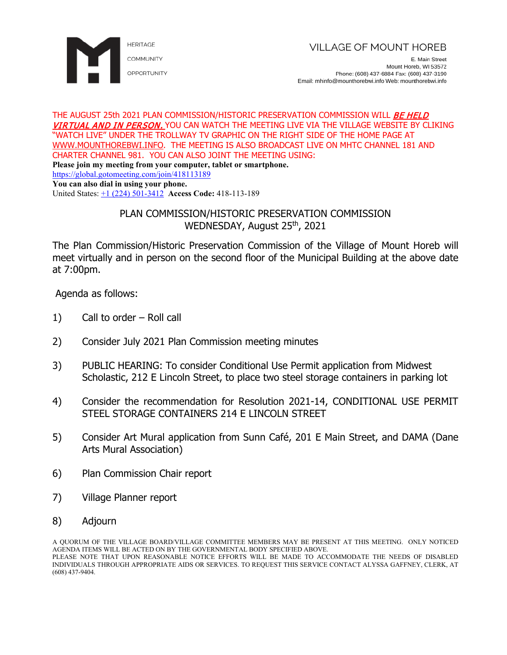

E. Main Street Mount Horeb, WI 53572 Phone: (608) 437-6884 Fax: (608) 437-3190 Email: mhinfo@mounthorebwi.info Web: mounthorebwi.info

#### THE AUGUST 25th 2021 PLAN COMMISSION/HISTORIC PRESERVATION COMMISSION WILL *BE HELD* VIRTUAL AND IN PERSON. YOU CAN WATCH THE MEETING LIVE VIA THE VILLAGE WEBSITE BY CLIKING "WATCH LIVE" UNDER THE TROLLWAY TV GRAPHIC ON THE RIGHT SIDE OF THE HOME PAGE AT [WWW.MOUNTHOREBWI.INFO.](http://www.mounthorebwi.info/) THE MEETING IS ALSO BROADCAST LIVE ON MHTC CHANNEL 181 AND CHARTER CHANNEL 981. YOU CAN ALSO JOINT THE MEETING USING: **Please join my meeting from your computer, tablet or smartphone.**  <https://global.gotomeeting.com/join/418113189>

**You can also dial in using your phone.**

United States: [+1 \(224\) 501-3412](tel:+12245013412,,418113189) **Access Code:** 418-113-189

# PLAN COMMISSION/HISTORIC PRESERVATION COMMISSION WEDNESDAY, August 25<sup>th</sup>, 2021

The Plan Commission/Historic Preservation Commission of the Village of Mount Horeb will meet virtually and in person on the second floor of the Municipal Building at the above date at 7:00pm.

Agenda as follows:

- 1) Call to order Roll call
- 2) Consider July 2021 Plan Commission meeting minutes
- 3) PUBLIC HEARING: To consider Conditional Use Permit application from Midwest Scholastic, 212 E Lincoln Street, to place two steel storage containers in parking lot
- 4) Consider the recommendation for Resolution 2021-14, CONDITIONAL USE PERMIT STEEL STORAGE CONTAINERS 214 F LINCOLN STREET
- 5) Consider Art Mural application from Sunn Café, 201 E Main Street, and DAMA (Dane Arts Mural Association)
- 6) Plan Commission Chair report
- 7) Village Planner report
- 8) Adjourn

A QUORUM OF THE VILLAGE BOARD/VILLAGE COMMITTEE MEMBERS MAY BE PRESENT AT THIS MEETING. ONLY NOTICED AGENDA ITEMS WILL BE ACTED ON BY THE GOVERNMENTAL BODY SPECIFIED ABOVE. PLEASE NOTE THAT UPON REASONABLE NOTICE EFFORTS WILL BE MADE TO ACCOMMODATE THE NEEDS OF DISABLED INDIVIDUALS THROUGH APPROPRIATE AIDS OR SERVICES. TO REQUEST THIS SERVICE CONTACT ALYSSA GAFFNEY, CLERK, AT (608) 437-9404.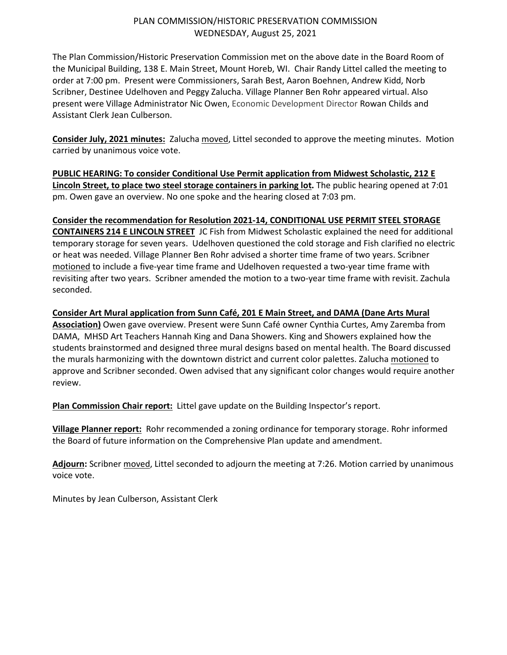## PLAN COMMISSION/HISTORIC PRESERVATION COMMISSION WEDNESDAY, August 25, 2021

The Plan Commission/Historic Preservation Commission met on the above date in the Board Room of the Municipal Building, 138 E. Main Street, Mount Horeb, WI. Chair Randy Littel called the meeting to order at 7:00 pm. Present were Commissioners, Sarah Best, Aaron Boehnen, Andrew Kidd, Norb Scribner, Destinee Udelhoven and Peggy Zalucha. Village Planner Ben Rohr appeared virtual. Also present were Village Administrator Nic Owen, Economic Development Director Rowan Childs and Assistant Clerk Jean Culberson.

**Consider July, 2021 minutes:** Zalucha moved, Littel seconded to approve the meeting minutes. Motion carried by unanimous voice vote.

**PUBLIC HEARING: To consider Conditional Use Permit application from Midwest Scholastic, 212 E Lincoln Street, to place two steel storage containers in parking lot.** The public hearing opened at 7:01 pm. Owen gave an overview. No one spoke and the hearing closed at 7:03 pm.

**Consider the recommendation for Resolution 2021-14, CONDITIONAL USE PERMIT STEEL STORAGE CONTAINERS 214 E LINCOLN STREET** JC Fish from Midwest Scholastic explained the need for additional temporary storage for seven years. Udelhoven questioned the cold storage and Fish clarified no electric or heat was needed. Village Planner Ben Rohr advised a shorter time frame of two years. Scribner motioned to include a five-year time frame and Udelhoven requested a two-year time frame with revisiting after two years. Scribner amended the motion to a two-year time frame with revisit. Zachula seconded.

**Consider Art Mural application from Sunn Café, 201 E Main Street, and DAMA (Dane Arts Mural Association)** Owen gave overview. Present were Sunn Café owner Cynthia Curtes, Amy Zaremba from DAMA, MHSD Art Teachers Hannah King and Dana Showers. King and Showers explained how the students brainstormed and designed three mural designs based on mental health. The Board discussed the murals harmonizing with the downtown district and current color palettes. Zalucha motioned to approve and Scribner seconded. Owen advised that any significant color changes would require another review.

**Plan Commission Chair report:** Littel gave update on the Building Inspector's report.

**Village Planner report:** Rohr recommended a zoning ordinance for temporary storage. Rohr informed the Board of future information on the Comprehensive Plan update and amendment.

**Adjourn:** Scribner moved, Littel seconded to adjourn the meeting at 7:26. Motion carried by unanimous voice vote.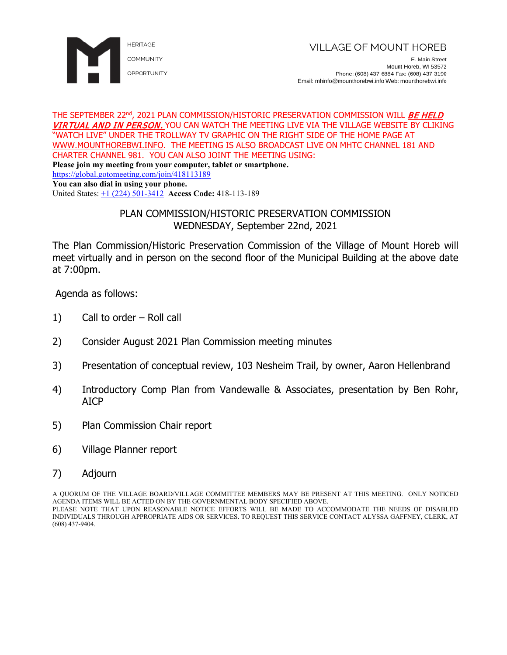

E. Main Street Mount Horeb, WI 53572 Phone: (608) 437-6884 Fax: (608) 437-3190 Email: mhinfo@mounthorebwi.info Web: mounthorebwi.info

#### THE SEPTEMBER 22<sup>nd</sup>, 2021 PLAN COMMISSION/HISTORIC PRESERVATION COMMISSION WILL *BE HELD* VIRTUAL AND IN PERSON. YOU CAN WATCH THE MEETING LIVE VIA THE VILLAGE WEBSITE BY CLIKING "WATCH LIVE" UNDER THE TROLLWAY TV GRAPHIC ON THE RIGHT SIDE OF THE HOME PAGE AT [WWW.MOUNTHOREBWI.INFO.](http://www.mounthorebwi.info/) THE MEETING IS ALSO BROADCAST LIVE ON MHTC CHANNEL 181 AND CHARTER CHANNEL 981. YOU CAN ALSO JOINT THE MEETING USING: **Please join my meeting from your computer, tablet or smartphone.** <https://global.gotomeeting.com/join/418113189>

**You can also dial in using your phone.**

United States: [+1 \(224\) 501-3412](tel:+12245013412,,418113189) **Access Code:** 418-113-189

# PLAN COMMISSION/HISTORIC PRESERVATION COMMISSION WEDNESDAY, September 22nd, 2021

The Plan Commission/Historic Preservation Commission of the Village of Mount Horeb will meet virtually and in person on the second floor of the Municipal Building at the above date at 7:00pm.

Agenda as follows:

- 1) Call to order Roll call
- 2) Consider August 2021 Plan Commission meeting minutes
- 3) Presentation of conceptual review, 103 Nesheim Trail, by owner, Aaron Hellenbrand
- 4) Introductory Comp Plan from Vandewalle & Associates, presentation by Ben Rohr, AICP
- 5) Plan Commission Chair report
- 6) Village Planner report
- 7) Adjourn

A QUORUM OF THE VILLAGE BOARD/VILLAGE COMMITTEE MEMBERS MAY BE PRESENT AT THIS MEETING. ONLY NOTICED AGENDA ITEMS WILL BE ACTED ON BY THE GOVERNMENTAL BODY SPECIFIED ABOVE. PLEASE NOTE THAT UPON REASONABLE NOTICE EFFORTS WILL BE MADE TO ACCOMMODATE THE NEEDS OF DISABLED INDIVIDUALS THROUGH APPROPRIATE AIDS OR SERVICES. TO REQUEST THIS SERVICE CONTACT ALYSSA GAFFNEY, CLERK, AT (608) 437-9404.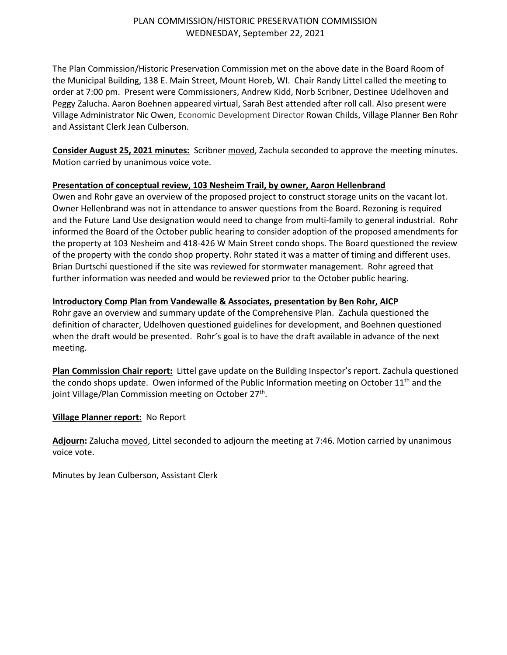### PLAN COMMISSION/HISTORIC PRESERVATION COMMISSION WEDNESDAY, September 22, 2021

The Plan Commission/Historic Preservation Commission met on the above date in the Board Room of the Municipal Building, 138 E. Main Street, Mount Horeb, WI. Chair Randy Littel called the meeting to order at 7:00 pm. Present were Commissioners, Andrew Kidd, Norb Scribner, Destinee Udelhoven and Peggy Zalucha. Aaron Boehnen appeared virtual, Sarah Best attended after roll call. Also present were Village Administrator Nic Owen, Economic Development Director Rowan Childs, Village Planner Ben Rohr and Assistant Clerk Jean Culberson.

**Consider August 25, 2021 minutes:** Scribner moved, Zachula seconded to approve the meeting minutes. Motion carried by unanimous voice vote.

### **Presentation of conceptual review, 103 Nesheim Trail, by owner, Aaron Hellenbrand**

Owen and Rohr gave an overview of the proposed project to construct storage units on the vacant lot. Owner Hellenbrand was not in attendance to answer questions from the Board. Rezoning is required and the Future Land Use designation would need to change from multi-family to general industrial. Rohr informed the Board of the October public hearing to consider adoption of the proposed amendments for the property at 103 Nesheim and 418-426 W Main Street condo shops. The Board questioned the review of the property with the condo shop property. Rohr stated it was a matter of timing and different uses. Brian Durtschi questioned if the site was reviewed for stormwater management. Rohr agreed that further information was needed and would be reviewed prior to the October public hearing.

### **Introductory Comp Plan from Vandewalle & Associates, presentation by Ben Rohr, AICP**

Rohr gave an overview and summary update of the Comprehensive Plan. Zachula questioned the definition of character, Udelhoven questioned guidelines for development, and Boehnen questioned when the draft would be presented. Rohr's goal is to have the draft available in advance of the next meeting.

**Plan Commission Chair report:** Littel gave update on the Building Inspector's report. Zachula questioned the condo shops update. Owen informed of the Public Information meeting on October  $11<sup>th</sup>$  and the joint Village/Plan Commission meeting on October  $27<sup>th</sup>$ .

### **Village Planner report:** No Report

**Adjourn:** Zalucha moved, Littel seconded to adjourn the meeting at 7:46. Motion carried by unanimous voice vote.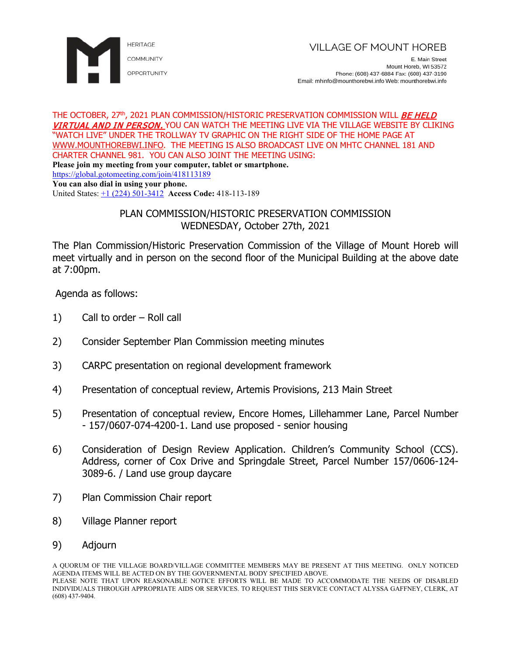

E. Main Street Mount Horeb, WI 53572 Phone: (608) 437-6884 Fax: (608) 437-3190 Email: mhinfo@mounthorebwi.info Web: mounthorebwi.info

#### THE OCTOBER, 27<sup>th</sup>, 2021 PLAN COMMISSION/HISTORIC PRESERVATION COMMISSION WILL *BE HELD* VIRTUAL AND IN PERSON. YOU CAN WATCH THE MEETING LIVE VIA THE VILLAGE WEBSITE BY CLIKING "WATCH LIVE" UNDER THE TROLLWAY TV GRAPHIC ON THE RIGHT SIDE OF THE HOME PAGE AT [WWW.MOUNTHOREBWI.INFO.](http://www.mounthorebwi.info/) THE MEETING IS ALSO BROADCAST LIVE ON MHTC CHANNEL 181 AND CHARTER CHANNEL 981. YOU CAN ALSO JOINT THE MEETING USING: **Please join my meeting from your computer, tablet or smartphone.** <https://global.gotomeeting.com/join/418113189>

**You can also dial in using your phone.**

United States: [+1 \(224\) 501-3412](tel:+12245013412,,418113189) **Access Code:** 418-113-189

# PLAN COMMISSION/HISTORIC PRESERVATION COMMISSION WEDNESDAY, October 27th, 2021

The Plan Commission/Historic Preservation Commission of the Village of Mount Horeb will meet virtually and in person on the second floor of the Municipal Building at the above date at 7:00pm.

Agenda as follows:

- 1) Call to order Roll call
- 2) Consider September Plan Commission meeting minutes
- 3) CARPC presentation on regional development framework
- 4) Presentation of conceptual review, Artemis Provisions, 213 Main Street
- 5) Presentation of conceptual review, Encore Homes, Lillehammer Lane, Parcel Number - 157/0607-074-4200-1. Land use proposed - senior housing
- 6) Consideration of Design Review Application. Children's Community School (CCS). Address, corner of Cox Drive and Springdale Street, Parcel Number 157/0606-124- 3089-6. / Land use group daycare
- 7) Plan Commission Chair report
- 8) Village Planner report
- 9) Adjourn

A QUORUM OF THE VILLAGE BOARD/VILLAGE COMMITTEE MEMBERS MAY BE PRESENT AT THIS MEETING. ONLY NOTICED AGENDA ITEMS WILL BE ACTED ON BY THE GOVERNMENTAL BODY SPECIFIED ABOVE. PLEASE NOTE THAT UPON REASONABLE NOTICE EFFORTS WILL BE MADE TO ACCOMMODATE THE NEEDS OF DISABLED INDIVIDUALS THROUGH APPROPRIATE AIDS OR SERVICES. TO REQUEST THIS SERVICE CONTACT ALYSSA GAFFNEY, CLERK, AT (608) 437-9404.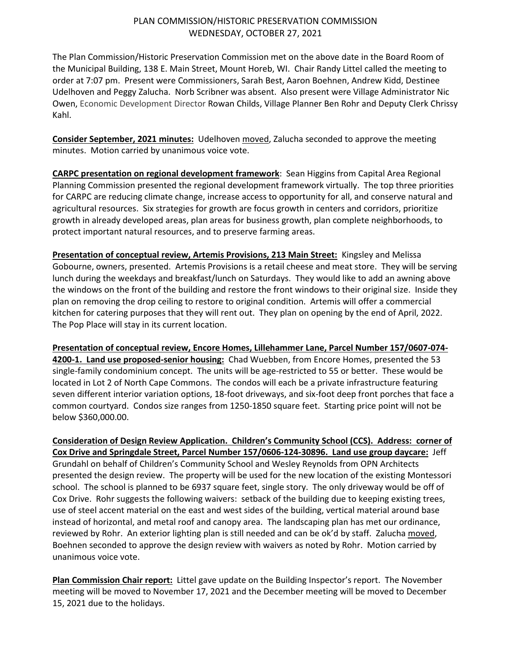### PLAN COMMISSION/HISTORIC PRESERVATION COMMISSION WEDNESDAY, OCTOBER 27, 2021

The Plan Commission/Historic Preservation Commission met on the above date in the Board Room of the Municipal Building, 138 E. Main Street, Mount Horeb, WI. Chair Randy Littel called the meeting to order at 7:07 pm. Present were Commissioners, Sarah Best, Aaron Boehnen, Andrew Kidd, Destinee Udelhoven and Peggy Zalucha. Norb Scribner was absent. Also present were Village Administrator Nic Owen, Economic Development Director Rowan Childs, Village Planner Ben Rohr and Deputy Clerk Chrissy Kahl.

**Consider September, 2021 minutes:** Udelhoven moved, Zalucha seconded to approve the meeting minutes. Motion carried by unanimous voice vote.

**CARPC presentation on regional development framework**: Sean Higgins from Capital Area Regional Planning Commission presented the regional development framework virtually. The top three priorities for CARPC are reducing climate change, increase access to opportunity for all, and conserve natural and agricultural resources. Six strategies for growth are focus growth in centers and corridors, prioritize growth in already developed areas, plan areas for business growth, plan complete neighborhoods, to protect important natural resources, and to preserve farming areas.

**Presentation of conceptual review, Artemis Provisions, 213 Main Street:** Kingsley and Melissa Gobourne, owners, presented. Artemis Provisions is a retail cheese and meat store. They will be serving lunch during the weekdays and breakfast/lunch on Saturdays. They would like to add an awning above the windows on the front of the building and restore the front windows to their original size. Inside they plan on removing the drop ceiling to restore to original condition. Artemis will offer a commercial kitchen for catering purposes that they will rent out. They plan on opening by the end of April, 2022. The Pop Place will stay in its current location.

**Presentation of conceptual review, Encore Homes, Lillehammer Lane, Parcel Number 157/0607-074- 4200-1. Land use proposed-senior housing:** Chad Wuebben, from Encore Homes, presented the 53 single-family condominium concept. The units will be age-restricted to 55 or better. These would be located in Lot 2 of North Cape Commons. The condos will each be a private infrastructure featuring seven different interior variation options, 18-foot driveways, and six-foot deep front porches that face a common courtyard. Condos size ranges from 1250-1850 square feet. Starting price point will not be below \$360,000.00.

**Consideration of Design Review Application. Children's Community School (CCS). Address: corner of Cox Drive and Springdale Street, Parcel Number 157/0606-124-30896. Land use group daycare:** Jeff Grundahl on behalf of Children's Community School and Wesley Reynolds from OPN Architects presented the design review. The property will be used for the new location of the existing Montessori school. The school is planned to be 6937 square feet, single story. The only driveway would be off of Cox Drive. Rohr suggests the following waivers: setback of the building due to keeping existing trees, use of steel accent material on the east and west sides of the building, vertical material around base instead of horizontal, and metal roof and canopy area. The landscaping plan has met our ordinance, reviewed by Rohr. An exterior lighting plan is still needed and can be ok'd by staff. Zalucha moved, Boehnen seconded to approve the design review with waivers as noted by Rohr. Motion carried by unanimous voice vote.

**Plan Commission Chair report:** Littel gave update on the Building Inspector's report. The November meeting will be moved to November 17, 2021 and the December meeting will be moved to December 15, 2021 due to the holidays.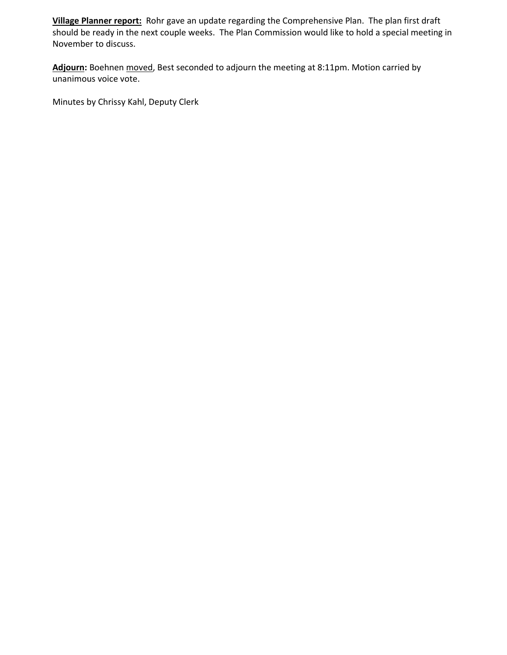**Village Planner report:** Rohr gave an update regarding the Comprehensive Plan. The plan first draft should be ready in the next couple weeks. The Plan Commission would like to hold a special meeting in November to discuss.

**Adjourn:** Boehnen moved, Best seconded to adjourn the meeting at 8:11pm. Motion carried by unanimous voice vote.

Minutes by Chrissy Kahl, Deputy Clerk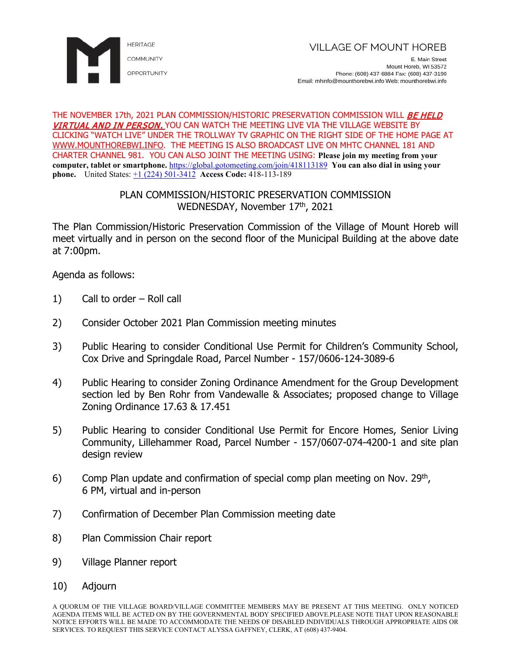

#### THE NOVEMBER 17th, 2021 PLAN COMMISSION/HISTORIC PRESERVATION COMMISSION WILL *BE HELD* VIRTUAL AND IN PERSON. YOU CAN WATCH THE MEETING LIVE VIA THE VILLAGE WEBSITE BY CLICKING "WATCH LIVE" UNDER THE TROLLWAY TV GRAPHIC ON THE RIGHT SIDE OF THE HOME PAGE AT [WWW.MOUNTHOREBWI.INFO.](http://www.mounthorebwi.info/) THE MEETING IS ALSO BROADCAST LIVE ON MHTC CHANNEL 181 AND CHARTER CHANNEL 981. YOU CAN ALSO JOINT THE MEETING USING: **Please join my meeting from your computer, tablet or smartphone.** <https://global.gotomeeting.com/join/418113189> **You can also dial in using your phone.** United States: [+1 \(224\) 501-3412](tel:+12245013412,,418113189) **Access Code:** 418-113-189

# PLAN COMMISSION/HISTORIC PRESERVATION COMMISSION WEDNESDAY, November 17th, 2021

The Plan Commission/Historic Preservation Commission of the Village of Mount Horeb will meet virtually and in person on the second floor of the Municipal Building at the above date at 7:00pm.

Agenda as follows:

- 1) Call to order Roll call
- 2) Consider October 2021 Plan Commission meeting minutes
- 3) Public Hearing to consider Conditional Use Permit for Children's Community School, Cox Drive and Springdale Road, Parcel Number - 157/0606-124-3089-6
- 4) Public Hearing to consider Zoning Ordinance Amendment for the Group Development section led by Ben Rohr from Vandewalle & Associates; proposed change to Village Zoning Ordinance 17.63 & 17.451
- 5) Public Hearing to consider Conditional Use Permit for Encore Homes, Senior Living Community, Lillehammer Road, Parcel Number - 157/0607-074-4200-1 and site plan design review
- 6) Comp Plan update and confirmation of special comp plan meeting on Nov.  $29<sup>th</sup>$ , 6 PM, virtual and in-person
- 7) Confirmation of December Plan Commission meeting date
- 8) Plan Commission Chair report
- 9) Village Planner report
- 10) Adjourn

A QUORUM OF THE VILLAGE BOARD/VILLAGE COMMITTEE MEMBERS MAY BE PRESENT AT THIS MEETING. ONLY NOTICED AGENDA ITEMS WILL BE ACTED ON BY THE GOVERNMENTAL BODY SPECIFIED ABOVE.PLEASE NOTE THAT UPON REASONABLE NOTICE EFFORTS WILL BE MADE TO ACCOMMODATE THE NEEDS OF DISABLED INDIVIDUALS THROUGH APPROPRIATE AIDS OR SERVICES. TO REQUEST THIS SERVICE CONTACT ALYSSA GAFFNEY, CLERK, AT (608) 437-9404.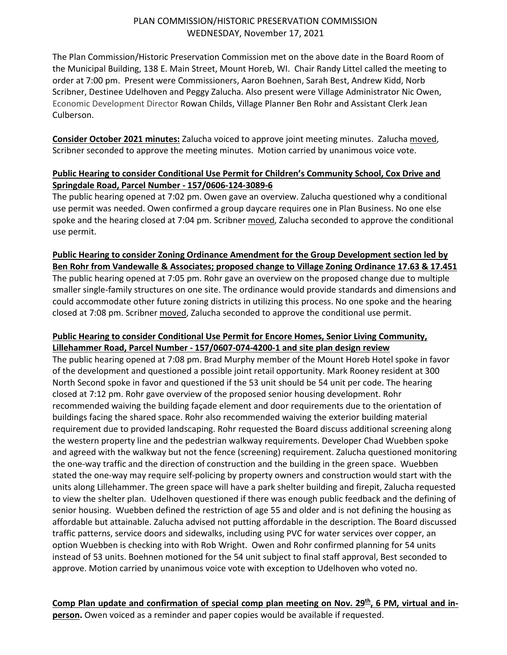## PLAN COMMISSION/HISTORIC PRESERVATION COMMISSION WEDNESDAY, November 17, 2021

The Plan Commission/Historic Preservation Commission met on the above date in the Board Room of the Municipal Building, 138 E. Main Street, Mount Horeb, WI. Chair Randy Littel called the meeting to order at 7:00 pm. Present were Commissioners, Aaron Boehnen, Sarah Best, Andrew Kidd, Norb Scribner, Destinee Udelhoven and Peggy Zalucha. Also present were Village Administrator Nic Owen, Economic Development Director Rowan Childs, Village Planner Ben Rohr and Assistant Clerk Jean Culberson.

**Consider October 2021 minutes:** Zalucha voiced to approve joint meeting minutes. Zalucha moved, Scribner seconded to approve the meeting minutes. Motion carried by unanimous voice vote.

# **Public Hearing to consider Conditional Use Permit for Children's Community School, Cox Drive and Springdale Road, Parcel Number - 157/0606-124-3089-6**

The public hearing opened at 7:02 pm. Owen gave an overview. Zalucha questioned why a conditional use permit was needed. Owen confirmed a group daycare requires one in Plan Business. No one else spoke and the hearing closed at 7:04 pm. Scribner moved, Zalucha seconded to approve the conditional use permit.

### **Public Hearing to consider Zoning Ordinance Amendment for the Group Development section led by Ben Rohr from Vandewalle & Associates; proposed change to Village Zoning Ordinance 17.63 & 17.451**

The public hearing opened at 7:05 pm. Rohr gave an overview on the proposed change due to multiple smaller single-family structures on one site. The ordinance would provide standards and dimensions and could accommodate other future zoning districts in utilizing this process. No one spoke and the hearing closed at 7:08 pm. Scribner moved, Zalucha seconded to approve the conditional use permit.

## **Public Hearing to consider Conditional Use Permit for Encore Homes, Senior Living Community, Lillehammer Road, Parcel Number - 157/0607-074-4200-1 and site plan design review**

The public hearing opened at 7:08 pm. Brad Murphy member of the Mount Horeb Hotel spoke in favor of the development and questioned a possible joint retail opportunity. Mark Rooney resident at 300 North Second spoke in favor and questioned if the 53 unit should be 54 unit per code. The hearing closed at 7:12 pm. Rohr gave overview of the proposed senior housing development. Rohr recommended waiving the building façade element and door requirements due to the orientation of buildings facing the shared space. Rohr also recommended waiving the exterior building material requirement due to provided landscaping. Rohr requested the Board discuss additional screening along the western property line and the pedestrian walkway requirements. Developer Chad Wuebben spoke and agreed with the walkway but not the fence (screening) requirement. Zalucha questioned monitoring the one-way traffic and the direction of construction and the building in the green space. Wuebben stated the one-way may require self-policing by property owners and construction would start with the units along Lillehammer. The green space will have a park shelter building and firepit, Zalucha requested to view the shelter plan. Udelhoven questioned if there was enough public feedback and the defining of senior housing. Wuebben defined the restriction of age 55 and older and is not defining the housing as affordable but attainable. Zalucha advised not putting affordable in the description. The Board discussed traffic patterns, service doors and sidewalks, including using PVC for water services over copper, an option Wuebben is checking into with Rob Wright. Owen and Rohr confirmed planning for 54 units instead of 53 units. Boehnen motioned for the 54 unit subject to final staff approval, Best seconded to approve. Motion carried by unanimous voice vote with exception to Udelhoven who voted no.

Comp Plan update and confirmation of special comp plan meeting on Nov. 29<sup>th</sup>, 6 PM, virtual and in**person.** Owen voiced as a reminder and paper copies would be available if requested.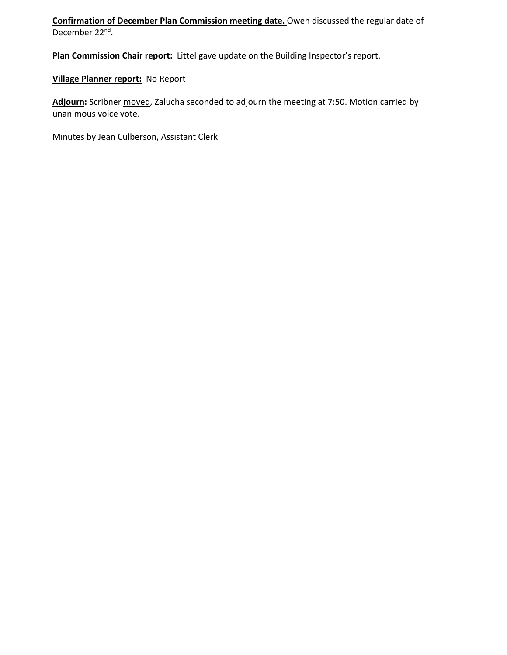**Confirmation of December Plan Commission meeting date.** Owen discussed the regular date of December 22nd.

**Plan Commission Chair report:** Littel gave update on the Building Inspector's report.

**Village Planner report:** No Report

**Adjourn:** Scribner moved, Zalucha seconded to adjourn the meeting at 7:50. Motion carried by unanimous voice vote.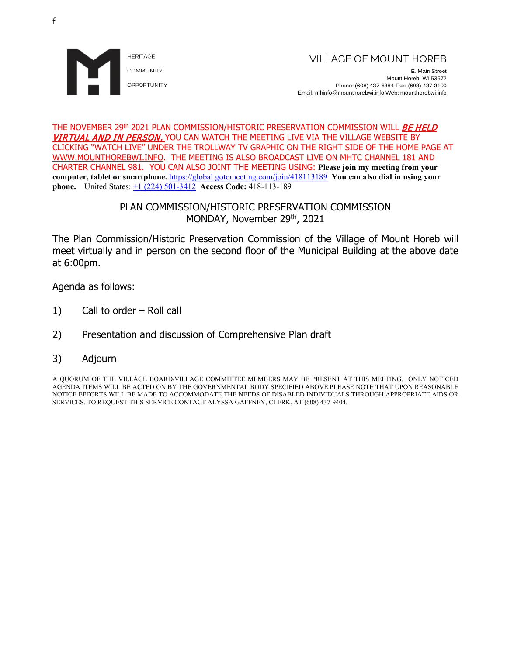

E. Main Street Mount Horeb, WI 53572 Phone: (608) 437-6884 Fax: (608) 437-3190 Email: mhinfo@mounthorebwi.info Web: mounthorebwi.info

#### THE NOVEMBER 29<sup>th</sup> 2021 PLAN COMMISSION/HISTORIC PRESERVATION COMMISSION WILL **BE HELD** VIRTUAL AND IN PERSON. YOU CAN WATCH THE MEETING LIVE VIA THE VILLAGE WEBSITE BY CLICKING "WATCH LIVE" UNDER THE TROLLWAY TV GRAPHIC ON THE RIGHT SIDE OF THE HOME PAGE AT [WWW.MOUNTHOREBWI.INFO.](http://www.mounthorebwi.info/) THE MEETING IS ALSO BROADCAST LIVE ON MHTC CHANNEL 181 AND CHARTER CHANNEL 981. YOU CAN ALSO JOINT THE MEETING USING: **Please join my meeting from your computer, tablet or smartphone.** <https://global.gotomeeting.com/join/418113189> **You can also dial in using your phone.** United States: [+1 \(224\) 501-3412](tel:+12245013412,,418113189) **Access Code:** 418-113-189

## PLAN COMMISSION/HISTORIC PRESERVATION COMMISSION MONDAY, November 29th, 2021

The Plan Commission/Historic Preservation Commission of the Village of Mount Horeb will meet virtually and in person on the second floor of the Municipal Building at the above date at 6:00pm.

Agenda as follows:

- 1) Call to order Roll call
- 2) Presentation and discussion of Comprehensive Plan draft
- 3) Adjourn

A QUORUM OF THE VILLAGE BOARD/VILLAGE COMMITTEE MEMBERS MAY BE PRESENT AT THIS MEETING. ONLY NOTICED AGENDA ITEMS WILL BE ACTED ON BY THE GOVERNMENTAL BODY SPECIFIED ABOVE.PLEASE NOTE THAT UPON REASONABLE NOTICE EFFORTS WILL BE MADE TO ACCOMMODATE THE NEEDS OF DISABLED INDIVIDUALS THROUGH APPROPRIATE AIDS OR SERVICES. TO REQUEST THIS SERVICE CONTACT ALYSSA GAFFNEY, CLERK, AT (608) 437-9404.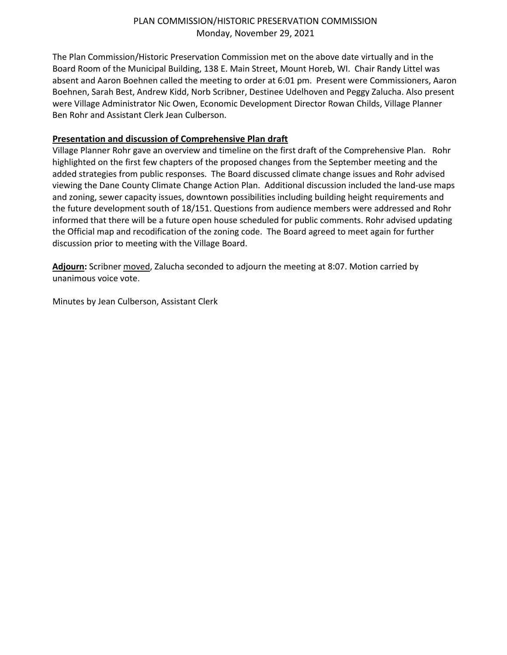## PLAN COMMISSION/HISTORIC PRESERVATION COMMISSION Monday, November 29, 2021

The Plan Commission/Historic Preservation Commission met on the above date virtually and in the Board Room of the Municipal Building, 138 E. Main Street, Mount Horeb, WI. Chair Randy Littel was absent and Aaron Boehnen called the meeting to order at 6:01 pm. Present were Commissioners, Aaron Boehnen, Sarah Best, Andrew Kidd, Norb Scribner, Destinee Udelhoven and Peggy Zalucha. Also present were Village Administrator Nic Owen, Economic Development Director Rowan Childs, Village Planner Ben Rohr and Assistant Clerk Jean Culberson.

# **Presentation and discussion of Comprehensive Plan draft**

Village Planner Rohr gave an overview and timeline on the first draft of the Comprehensive Plan. Rohr highlighted on the first few chapters of the proposed changes from the September meeting and the added strategies from public responses. The Board discussed climate change issues and Rohr advised viewing the Dane County Climate Change Action Plan. Additional discussion included the land-use maps and zoning, sewer capacity issues, downtown possibilities including building height requirements and the future development south of 18/151. Questions from audience members were addressed and Rohr informed that there will be a future open house scheduled for public comments. Rohr advised updating the Official map and recodification of the zoning code. The Board agreed to meet again for further discussion prior to meeting with the Village Board.

**Adjourn:** Scribner moved, Zalucha seconded to adjourn the meeting at 8:07. Motion carried by unanimous voice vote.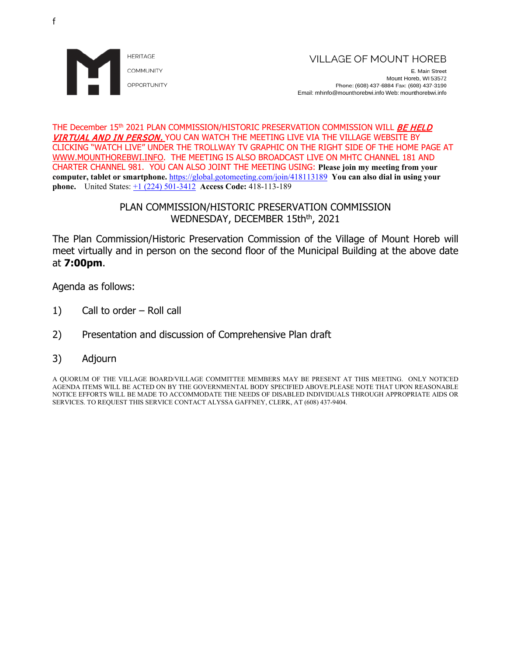

E. Main Street Mount Horeb, WI 53572 Phone: (608) 437-6884 Fax: (608) 437-3190 Email: mhinfo@mounthorebwi.info Web: mounthorebwi.info

#### THE December 15<sup>th</sup> 2021 PLAN COMMISSION/HISTORIC PRESERVATION COMMISSION WILL **BE HELD** VIRTUAL AND IN PERSON. YOU CAN WATCH THE MEETING LIVE VIA THE VILLAGE WEBSITE BY CLICKING "WATCH LIVE" UNDER THE TROLLWAY TV GRAPHIC ON THE RIGHT SIDE OF THE HOME PAGE AT [WWW.MOUNTHOREBWI.INFO.](http://www.mounthorebwi.info/) THE MEETING IS ALSO BROADCAST LIVE ON MHTC CHANNEL 181 AND CHARTER CHANNEL 981. YOU CAN ALSO JOINT THE MEETING USING: **Please join my meeting from your computer, tablet or smartphone.** <https://global.gotomeeting.com/join/418113189> **You can also dial in using your phone.** United States: [+1 \(224\) 501-3412](tel:+12245013412,,418113189) **Access Code:** 418-113-189

# PLAN COMMISSION/HISTORIC PRESERVATION COMMISSION WEDNESDAY, DECEMBER 15th<sup>th</sup>, 2021

The Plan Commission/Historic Preservation Commission of the Village of Mount Horeb will meet virtually and in person on the second floor of the Municipal Building at the above date at **7:00pm**.

Agenda as follows:

- 1) Call to order Roll call
- 2) Presentation and discussion of Comprehensive Plan draft
- 3) Adjourn

A QUORUM OF THE VILLAGE BOARD/VILLAGE COMMITTEE MEMBERS MAY BE PRESENT AT THIS MEETING. ONLY NOTICED AGENDA ITEMS WILL BE ACTED ON BY THE GOVERNMENTAL BODY SPECIFIED ABOVE.PLEASE NOTE THAT UPON REASONABLE NOTICE EFFORTS WILL BE MADE TO ACCOMMODATE THE NEEDS OF DISABLED INDIVIDUALS THROUGH APPROPRIATE AIDS OR SERVICES. TO REQUEST THIS SERVICE CONTACT ALYSSA GAFFNEY, CLERK, AT (608) 437-9404.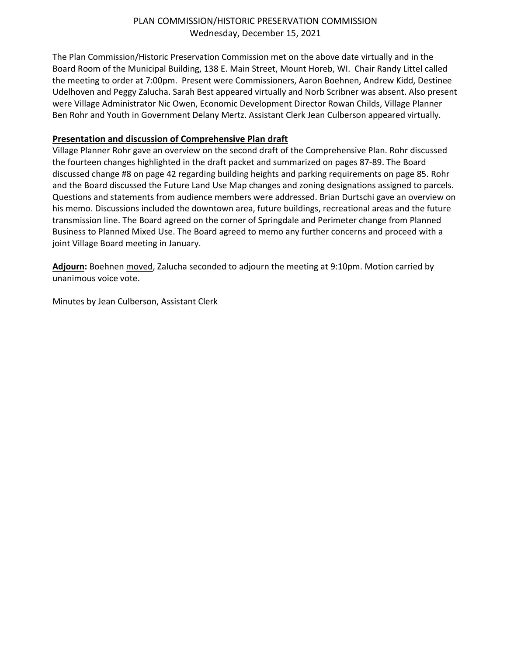## PLAN COMMISSION/HISTORIC PRESERVATION COMMISSION Wednesday, December 15, 2021

The Plan Commission/Historic Preservation Commission met on the above date virtually and in the Board Room of the Municipal Building, 138 E. Main Street, Mount Horeb, WI. Chair Randy Littel called the meeting to order at 7:00pm. Present were Commissioners, Aaron Boehnen, Andrew Kidd, Destinee Udelhoven and Peggy Zalucha. Sarah Best appeared virtually and Norb Scribner was absent. Also present were Village Administrator Nic Owen, Economic Development Director Rowan Childs, Village Planner Ben Rohr and Youth in Government Delany Mertz. Assistant Clerk Jean Culberson appeared virtually.

# **Presentation and discussion of Comprehensive Plan draft**

Village Planner Rohr gave an overview on the second draft of the Comprehensive Plan. Rohr discussed the fourteen changes highlighted in the draft packet and summarized on pages 87-89. The Board discussed change #8 on page 42 regarding building heights and parking requirements on page 85. Rohr and the Board discussed the Future Land Use Map changes and zoning designations assigned to parcels. Questions and statements from audience members were addressed. Brian Durtschi gave an overview on his memo. Discussions included the downtown area, future buildings, recreational areas and the future transmission line. The Board agreed on the corner of Springdale and Perimeter change from Planned Business to Planned Mixed Use. The Board agreed to memo any further concerns and proceed with a joint Village Board meeting in January.

**Adjourn:** Boehnen moved, Zalucha seconded to adjourn the meeting at 9:10pm. Motion carried by unanimous voice vote.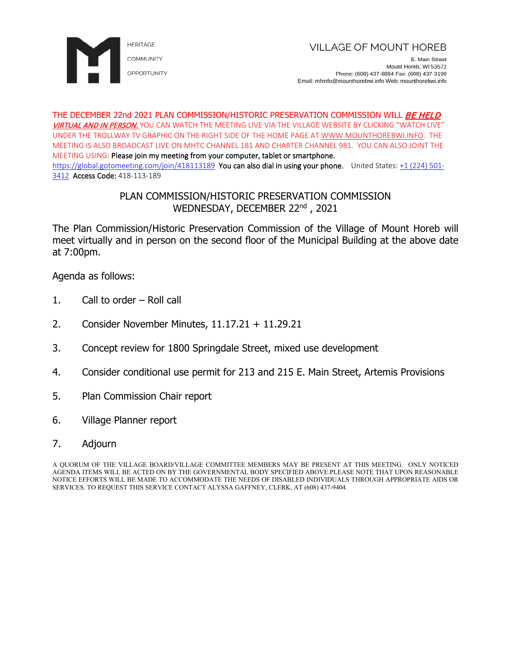

E. Main Street Mount Horeb, WI 53572 Phone: (608) 437-6884 Fax: (608) 437-3190 Email: mhinfo@mounthorebwi.info Web: mounthorebwi.info

#### THE DECEMBER 22nd 2021 PLAN COMMISSION/HISTORIC PRESERVATION COMMISSION WILL *BE HELD* VIRTUAL AND IN PERSON. YOU CAN WATCH THE MEETING LIVE VIA THE VILLAGE WEBSITE BY CLICKING "WATCH LIVE" UNDER THE TROLLWAY TV GRAPHIC ON THE RIGHT SIDE OF THE HOME PAGE AT [WWW.MOUNTHOREBWI.INFO.](http://www.mounthorebwi.info/) THE MEETING IS ALSO BROADCAST LIVE ON MHTC CHANNEL 181 AND CHARTER CHANNEL 981. YOU CAN ALSO JOINT THE MEETING USING: Please join my meeting from your computer, tablet or smartphone. <https://global.gotomeeting.com/join/418113189> You can also dial in using your phone. United States: [+1 \(224\) 501-](tel:+12245013412,,418113189) [3412](tel:+12245013412,,418113189) Access Code: 418-113-189

# PLAN COMMISSION/HISTORIC PRESERVATION COMMISSION WEDNESDAY, DECEMBER 22nd, 2021

The Plan Commission/Historic Preservation Commission of the Village of Mount Horeb will meet virtually and in person on the second floor of the Municipal Building at the above date at 7:00pm.

Agenda as follows:

- 1. Call to order Roll call
- 2. Consider November Minutes, 11.17.21 + 11.29.21
- 3. Concept review for 1800 Springdale Street, mixed use development
- 4. Consider conditional use permit for 213 and 215 E. Main Street, Artemis Provisions
- 5. Plan Commission Chair report
- 6. Village Planner report

### 7. Adjourn

A QUORUM OF THE VILLAGE BOARD/VILLAGE COMMITTEE MEMBERS MAY BE PRESENT AT THIS MEETING. ONLY NOTICED AGENDA ITEMS WILL BE ACTED ON BY THE GOVERNMENTAL BODY SPECIFIED ABOVE.PLEASE NOTE THAT UPON REASONABLE NOTICE EFFORTS WILL BE MADE TO ACCOMMODATE THE NEEDS OF DISABLED INDIVIDUALS THROUGH APPROPRIATE AIDS OR SERVICES. TO REQUEST THIS SERVICE CONTACT ALYSSA GAFFNEY, CLERK, AT (608) 437-9404.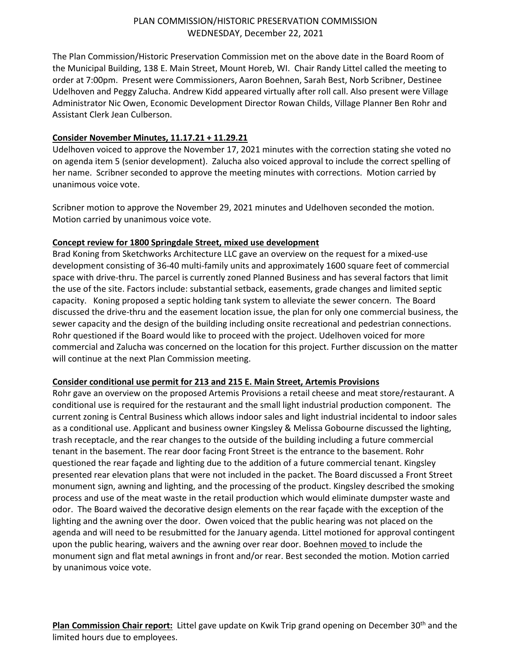## PLAN COMMISSION/HISTORIC PRESERVATION COMMISSION WEDNESDAY, December 22, 2021

The Plan Commission/Historic Preservation Commission met on the above date in the Board Room of the Municipal Building, 138 E. Main Street, Mount Horeb, WI. Chair Randy Littel called the meeting to order at 7:00pm. Present were Commissioners, Aaron Boehnen, Sarah Best, Norb Scribner, Destinee Udelhoven and Peggy Zalucha. Andrew Kidd appeared virtually after roll call. Also present were Village Administrator Nic Owen, Economic Development Director Rowan Childs, Village Planner Ben Rohr and Assistant Clerk Jean Culberson.

## **Consider November Minutes, 11.17.21 + 11.29.21**

Udelhoven voiced to approve the November 17, 2021 minutes with the correction stating she voted no on agenda item 5 (senior development). Zalucha also voiced approval to include the correct spelling of her name. Scribner seconded to approve the meeting minutes with corrections. Motion carried by unanimous voice vote.

Scribner motion to approve the November 29, 2021 minutes and Udelhoven seconded the motion. Motion carried by unanimous voice vote.

### **Concept review for 1800 Springdale Street, mixed use development**

Brad Koning from Sketchworks Architecture LLC gave an overview on the request for a mixed-use development consisting of 36-40 multi-family units and approximately 1600 square feet of commercial space with drive-thru. The parcel is currently zoned Planned Business and has several factors that limit the use of the site. Factors include: substantial setback, easements, grade changes and limited septic capacity. Koning proposed a septic holding tank system to alleviate the sewer concern. The Board discussed the drive-thru and the easement location issue, the plan for only one commercial business, the sewer capacity and the design of the building including onsite recreational and pedestrian connections. Rohr questioned if the Board would like to proceed with the project. Udelhoven voiced for more commercial and Zalucha was concerned on the location for this project. Further discussion on the matter will continue at the next Plan Commission meeting.

### **Consider conditional use permit for 213 and 215 E. Main Street, Artemis Provisions**

Rohr gave an overview on the proposed Artemis Provisions a retail cheese and meat store/restaurant. A conditional use is required for the restaurant and the small light industrial production component. The current zoning is Central Business which allows indoor sales and light industrial incidental to indoor sales as a conditional use. Applicant and business owner Kingsley & Melissa Gobourne discussed the lighting, trash receptacle, and the rear changes to the outside of the building including a future commercial tenant in the basement. The rear door facing Front Street is the entrance to the basement. Rohr questioned the rear façade and lighting due to the addition of a future commercial tenant. Kingsley presented rear elevation plans that were not included in the packet. The Board discussed a Front Street monument sign, awning and lighting, and the processing of the product. Kingsley described the smoking process and use of the meat waste in the retail production which would eliminate dumpster waste and odor. The Board waived the decorative design elements on the rear façade with the exception of the lighting and the awning over the door. Owen voiced that the public hearing was not placed on the agenda and will need to be resubmitted for the January agenda. Littel motioned for approval contingent upon the public hearing, waivers and the awning over rear door. Boehnen moved to include the monument sign and flat metal awnings in front and/or rear. Best seconded the motion. Motion carried by unanimous voice vote.